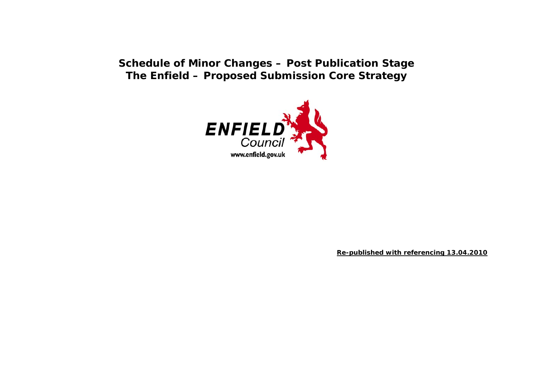## **Schedule of Minor Changes – Post Publication Stage The Enfield – Proposed Submission Core Strategy**



**Re-published with referencing 13.04.2010**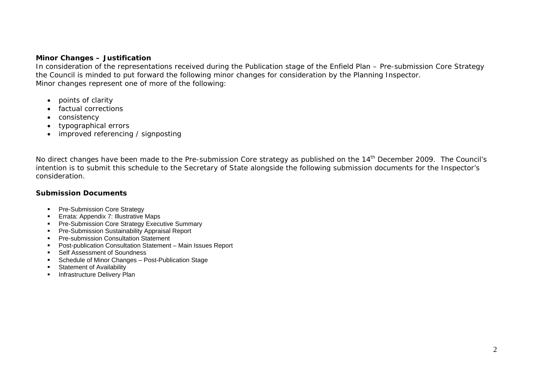#### **Minor Changes – Justification**

In consideration of the representations received during the Publication stage of the Enfield Plan – Pre-submission Core Strategy the Council is minded to put forward the following minor changes for consideration by the Planning Inspector. Minor changes represent one of more of the following:

- points of clarity
- $\bullet$ factual corrections
- $\bullet$ consistency
- $\bullet$ typographical errors
- . improved referencing / signposting

No direct changes have been made to the Pre-submission Core strategy as published on the 14<sup>th</sup> December 2009. The Council's intention is to submit this schedule to the Secretary of State alongside the following submission documents for the Inspector's consideration.

### **Submission Documents**

- **Pre-Submission Core Strategy**
- **Errata: Appendix 7: Illustrative Maps**
- **Pre-Submission Core Strategy Executive Summary**
- **Pre-Submission Sustainability Appraisal Report**
- **Pre-submission Consultation Statement**
- Post-publication Consultation Statement Main Issues Report
- **EXECUTE:** Self Assessment of Soundness
- **Schedule of Minor Changes Post-Publication Stage**
- **Statement of Availability**
- **Infrastructure Delivery Plan**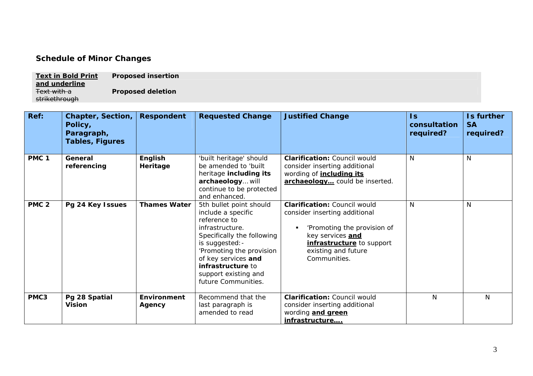### **Schedule of Minor Changes**

**Text in Bold Print and underline Proposed insertion**  Text with a strikethrough **Proposed deletion** 

| Ref:             | <b>Chapter, Section,</b><br>Policy,<br>Paragraph,<br><b>Tables, Figures</b> | <b>Respondent</b>            | <b>Requested Change</b>                                                                                                                                                                                                                                  | <b>Justified Change</b>                                                                                                                                                                     | $\mathsf{ls}$<br>consultation<br>required? | Is further<br><b>SA</b><br>required? |
|------------------|-----------------------------------------------------------------------------|------------------------------|----------------------------------------------------------------------------------------------------------------------------------------------------------------------------------------------------------------------------------------------------------|---------------------------------------------------------------------------------------------------------------------------------------------------------------------------------------------|--------------------------------------------|--------------------------------------|
| PMC <sub>1</sub> | General<br>referencing                                                      | English<br>Heritage          | 'built heritage' should<br>be amended to 'built<br>heritage including its<br>archaeology will<br>continue to be protected<br>and enhanced.                                                                                                               | <b>Clarification: Council would</b><br>consider inserting additional<br>wording of <i>including its</i><br>archaeology could be inserted.                                                   | N                                          | N                                    |
| PMC <sub>2</sub> | Pg 24 Key Issues                                                            | <b>Thames Water</b>          | 5th bullet point should<br>include a specific<br>reference to<br>infrastructure.<br>Specifically the following<br>is suggested: -<br>'Promoting the provision<br>of key services and<br>infrastructure to<br>support existing and<br>future Communities. | <b>Clarification: Council would</b><br>consider inserting additional<br>'Promoting the provision of<br>key services and<br>infrastructure to support<br>existing and future<br>Communities. | N                                          | N                                    |
| PMC3             | Pg 28 Spatial<br><b>Vision</b>                                              | <b>Environment</b><br>Agency | Recommend that the<br>last paragraph is<br>amended to read                                                                                                                                                                                               | <b>Clarification: Council would</b><br>consider inserting additional<br>wording <b>and green</b><br>infrastructure                                                                          | N                                          | N                                    |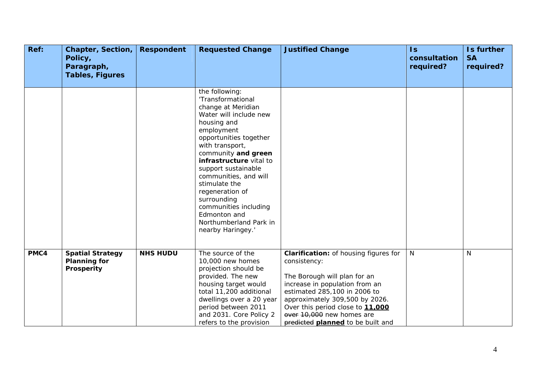| Ref: | <b>Chapter, Section,</b><br>Policy,<br>Paragraph,<br><b>Tables, Figures</b> | <b>Respondent</b> | <b>Requested Change</b>                                                                                                                                                                                                                                                                                                                                                                                    | <b>Justified Change</b>                                                                                                                                                                                                                                                                                | $\mathsf{ls}$<br>consultation<br>required? | Is further<br><b>SA</b><br>required? |
|------|-----------------------------------------------------------------------------|-------------------|------------------------------------------------------------------------------------------------------------------------------------------------------------------------------------------------------------------------------------------------------------------------------------------------------------------------------------------------------------------------------------------------------------|--------------------------------------------------------------------------------------------------------------------------------------------------------------------------------------------------------------------------------------------------------------------------------------------------------|--------------------------------------------|--------------------------------------|
|      |                                                                             |                   | the following:<br>'Transformational<br>change at Meridian<br>Water will include new<br>housing and<br>employment<br>opportunities together<br>with transport,<br>community and green<br>infrastructure vital to<br>support sustainable<br>communities, and will<br>stimulate the<br>regeneration of<br>surrounding<br>communities including<br>Edmonton and<br>Northumberland Park in<br>nearby Haringey.' |                                                                                                                                                                                                                                                                                                        |                                            |                                      |
| PMC4 | <b>Spatial Strategy</b><br><b>Planning for</b><br>Prosperity                | <b>NHS HUDU</b>   | The source of the<br>10,000 new homes<br>projection should be<br>provided. The new<br>housing target would<br>total 11,200 additional<br>dwellings over a 20 year<br>period between 2011<br>and 2031. Core Policy 2<br>refers to the provision                                                                                                                                                             | <b>Clarification:</b> of housing figures for<br>consistency:<br>The Borough will plan for an<br>increase in population from an<br>estimated 285,100 in 2006 to<br>approximately 309,500 by 2026.<br>Over this period close to 11,000<br>over 10,000 new homes are<br>predicted planned to be built and | $\mathsf{N}$                               | $\mathsf{N}$                         |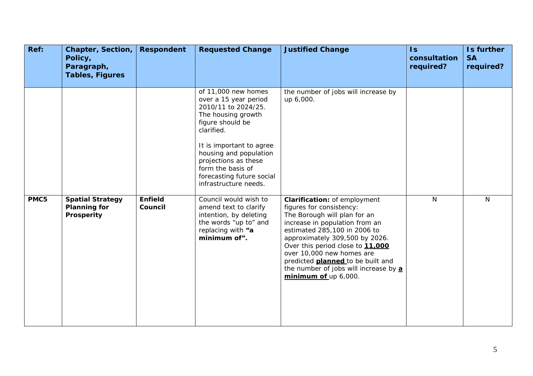| Ref: | <b>Chapter, Section,</b><br>Policy,<br>Paragraph,<br><b>Tables, Figures</b> | <b>Respondent</b>         | <b>Requested Change</b>                                                                                                                                                                                                                                                              | <b>Justified Change</b>                                                                                                                                                                                                                                                                                                                                                    | $\mathsf{Is}$<br>consultation<br>required? | Is further<br><b>SA</b><br>required? |
|------|-----------------------------------------------------------------------------|---------------------------|--------------------------------------------------------------------------------------------------------------------------------------------------------------------------------------------------------------------------------------------------------------------------------------|----------------------------------------------------------------------------------------------------------------------------------------------------------------------------------------------------------------------------------------------------------------------------------------------------------------------------------------------------------------------------|--------------------------------------------|--------------------------------------|
|      |                                                                             |                           | of 11,000 new homes<br>over a 15 year period<br>2010/11 to 2024/25.<br>The housing growth<br>figure should be<br>clarified.<br>It is important to agree<br>housing and population<br>projections as these<br>form the basis of<br>forecasting future social<br>infrastructure needs. | the number of jobs will increase by<br>up 6,000.                                                                                                                                                                                                                                                                                                                           |                                            |                                      |
| PMC5 | <b>Spatial Strategy</b><br><b>Planning for</b><br>Prosperity                | <b>Enfield</b><br>Council | Council would wish to<br>amend text to clarify<br>intention, by deleting<br>the words "up to" and<br>replacing with "a<br>minimum of".                                                                                                                                               | Clarification: of employment<br>figures for consistency:<br>The Borough will plan for an<br>increase in population from an<br>estimated 285,100 in 2006 to<br>approximately 309,500 by 2026.<br>Over this period close to 11,000<br>over 10,000 new homes are<br>predicted <b>planned</b> to be built and<br>the number of jobs will increase by a<br>minimum of up 6,000. | $\mathsf{N}$                               | $\mathsf{N}$                         |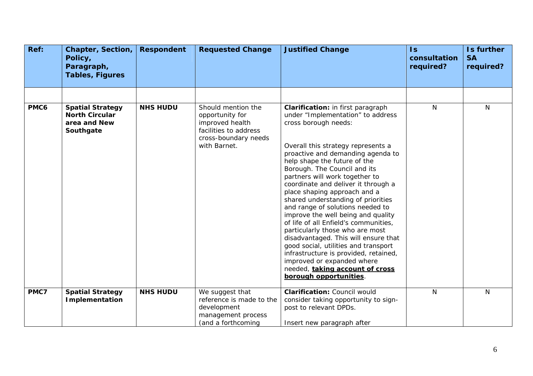| Ref: | <b>Chapter, Section,</b><br>Policy,<br>Paragraph,<br><b>Tables, Figures</b>   | <b>Respondent</b> | <b>Requested Change</b>                                                                                                   | <b>Justified Change</b>                                                                                                                                                                                                                                                                                                                                                                                                                                                                                                                                                                                                                                                                                                                                            | $\overline{\mathsf{ls}}$<br>consultation<br>required? | Is further<br><b>SA</b><br>required? |
|------|-------------------------------------------------------------------------------|-------------------|---------------------------------------------------------------------------------------------------------------------------|--------------------------------------------------------------------------------------------------------------------------------------------------------------------------------------------------------------------------------------------------------------------------------------------------------------------------------------------------------------------------------------------------------------------------------------------------------------------------------------------------------------------------------------------------------------------------------------------------------------------------------------------------------------------------------------------------------------------------------------------------------------------|-------------------------------------------------------|--------------------------------------|
|      |                                                                               |                   |                                                                                                                           |                                                                                                                                                                                                                                                                                                                                                                                                                                                                                                                                                                                                                                                                                                                                                                    |                                                       |                                      |
| PMC6 | <b>Spatial Strategy</b><br><b>North Circular</b><br>area and New<br>Southgate | <b>NHS HUDU</b>   | Should mention the<br>opportunity for<br>improved health<br>facilities to address<br>cross-boundary needs<br>with Barnet. | Clarification: in first paragraph<br>under "Implementation" to address<br>cross borough needs:<br>Overall this strategy represents a<br>proactive and demanding agenda to<br>help shape the future of the<br>Borough. The Council and its<br>partners will work together to<br>coordinate and deliver it through a<br>place shaping approach and a<br>shared understanding of priorities<br>and range of solutions needed to<br>improve the well being and quality<br>of life of all Enfield's communities,<br>particularly those who are most<br>disadvantaged. This will ensure that<br>good social, utilities and transport<br>infrastructure is provided, retained,<br>improved or expanded where<br>needed, taking account of cross<br>borough opportunities. | N                                                     | N                                    |
| PMC7 | <b>Spatial Strategy</b><br><b>Implementation</b>                              | <b>NHS HUDU</b>   | We suggest that<br>reference is made to the<br>development<br>management process<br>(and a forthcoming                    | <b>Clarification: Council would</b><br>consider taking opportunity to sign-<br>post to relevant DPDs.<br>Insert new paragraph after                                                                                                                                                                                                                                                                                                                                                                                                                                                                                                                                                                                                                                | N                                                     | N                                    |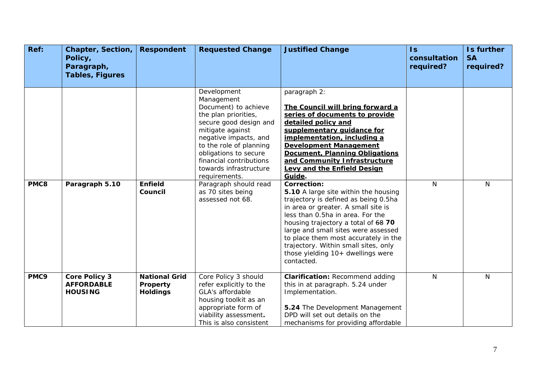| Ref: | <b>Chapter, Section,</b><br>Policy,<br>Paragraph,<br><b>Tables, Figures</b> | <b>Respondent</b>                                   | <b>Requested Change</b>                                                                                                                                                                                                                                                                                                                      | <b>Justified Change</b>                                                                                                                                                                                                                                                                                                                                                                                                                                                                                                                                                                                                                                                                                                     | $\mathsf{ls}$<br>consultation<br>required? | Is further<br><b>SA</b><br>required? |
|------|-----------------------------------------------------------------------------|-----------------------------------------------------|----------------------------------------------------------------------------------------------------------------------------------------------------------------------------------------------------------------------------------------------------------------------------------------------------------------------------------------------|-----------------------------------------------------------------------------------------------------------------------------------------------------------------------------------------------------------------------------------------------------------------------------------------------------------------------------------------------------------------------------------------------------------------------------------------------------------------------------------------------------------------------------------------------------------------------------------------------------------------------------------------------------------------------------------------------------------------------------|--------------------------------------------|--------------------------------------|
| PMC8 | Paragraph 5.10                                                              | <b>Enfield</b><br>Council                           | Development<br>Management<br>Document) to achieve<br>the plan priorities,<br>secure good design and<br>mitigate against<br>negative impacts, and<br>to the role of planning<br>obligations to secure<br>financial contributions<br>towards infrastructure<br>requirements.<br>Paragraph should read<br>as 70 sites being<br>assessed not 68. | paragraph 2:<br>The Council will bring forward a<br>series of documents to provide<br>detailed policy and<br>supplementary quidance for<br>implementation, including a<br><b>Development Management</b><br>Document, Planning Obligations<br>and Community Infrastructure<br><b>Levy and the Enfield Design</b><br>Guide.<br><b>Correction:</b><br>5.10 A large site within the housing<br>trajectory is defined as being 0.5ha<br>in area or greater. A small site is<br>less than 0.5ha in area. For the<br>housing trajectory a total of 68 70<br>large and small sites were assessed<br>to place them most accurately in the<br>trajectory. Within small sites, only<br>those yielding 10+ dwellings were<br>contacted. | N                                          | N                                    |
| PMC9 | <b>Core Policy 3</b><br><b>AFFORDABLE</b><br><b>HOUSING</b>                 | <b>National Grid</b><br>Property<br><b>Holdings</b> | Core Policy 3 should<br>refer explicitly to the<br>GLA's affordable<br>housing toolkit as an<br>appropriate form of<br>viability assessment.<br>This is also consistent                                                                                                                                                                      | <b>Clarification: Recommend adding</b><br>this in at paragraph. 5.24 under<br>Implementation.<br>5.24 The Development Management<br>DPD will set out details on the<br>mechanisms for providing affordable                                                                                                                                                                                                                                                                                                                                                                                                                                                                                                                  | N.                                         | N                                    |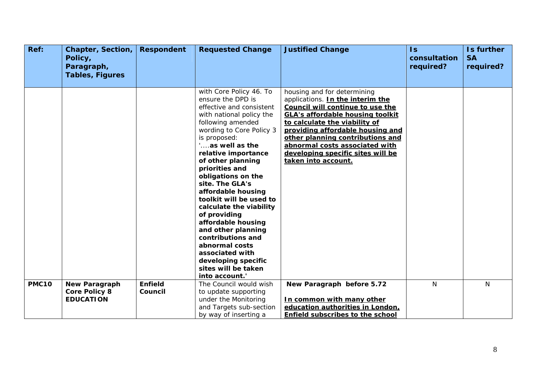| Ref:         | <b>Chapter, Section,</b><br>Policy,<br>Paragraph,<br><b>Tables, Figures</b> | <b>Respondent</b> | <b>Requested Change</b>                                                                                                                                                                                                                                                                                                                                                                                                                                                                                                                                           | <b>Justified Change</b>                                                                                                                                                                                                                                                                                                                               | $\overline{1s}$<br>consultation<br>required? | Is further<br><b>SA</b><br>required? |
|--------------|-----------------------------------------------------------------------------|-------------------|-------------------------------------------------------------------------------------------------------------------------------------------------------------------------------------------------------------------------------------------------------------------------------------------------------------------------------------------------------------------------------------------------------------------------------------------------------------------------------------------------------------------------------------------------------------------|-------------------------------------------------------------------------------------------------------------------------------------------------------------------------------------------------------------------------------------------------------------------------------------------------------------------------------------------------------|----------------------------------------------|--------------------------------------|
|              |                                                                             |                   |                                                                                                                                                                                                                                                                                                                                                                                                                                                                                                                                                                   |                                                                                                                                                                                                                                                                                                                                                       |                                              |                                      |
|              |                                                                             |                   | with Core Policy 46. To<br>ensure the DPD is<br>effective and consistent<br>with national policy the<br>following amended<br>wording to Core Policy 3<br>is proposed:<br>'as well as the<br>relative importance<br>of other planning<br>priorities and<br>obligations on the<br>site. The GLA's<br>affordable housing<br>toolkit will be used to<br>calculate the viability<br>of providing<br>affordable housing<br>and other planning<br>contributions and<br>abnormal costs<br>associated with<br>developing specific<br>sites will be taken<br>into account.' | housing and for determining<br>applications. In the interim the<br>Council will continue to use the<br><b>GLA's affordable housing toolkit</b><br>to calculate the viability of<br>providing affordable housing and<br>other planning contributions and<br>abnormal costs associated with<br>developing specific sites will be<br>taken into account. |                                              |                                      |
| <b>PMC10</b> | <b>New Paragraph</b>                                                        | <b>Enfield</b>    | The Council would wish                                                                                                                                                                                                                                                                                                                                                                                                                                                                                                                                            | New Paragraph before 5.72                                                                                                                                                                                                                                                                                                                             | N                                            | N                                    |
|              | <b>Core Policy 8</b>                                                        | Council           | to update supporting                                                                                                                                                                                                                                                                                                                                                                                                                                                                                                                                              |                                                                                                                                                                                                                                                                                                                                                       |                                              |                                      |
|              | <b>EDUCATION</b>                                                            |                   | under the Monitoring                                                                                                                                                                                                                                                                                                                                                                                                                                                                                                                                              | In common with many other                                                                                                                                                                                                                                                                                                                             |                                              |                                      |
|              |                                                                             |                   | and Targets sub-section                                                                                                                                                                                                                                                                                                                                                                                                                                                                                                                                           | education authorities in London,                                                                                                                                                                                                                                                                                                                      |                                              |                                      |
|              |                                                                             |                   | by way of inserting a                                                                                                                                                                                                                                                                                                                                                                                                                                                                                                                                             | <b>Enfield subscribes to the school</b>                                                                                                                                                                                                                                                                                                               |                                              |                                      |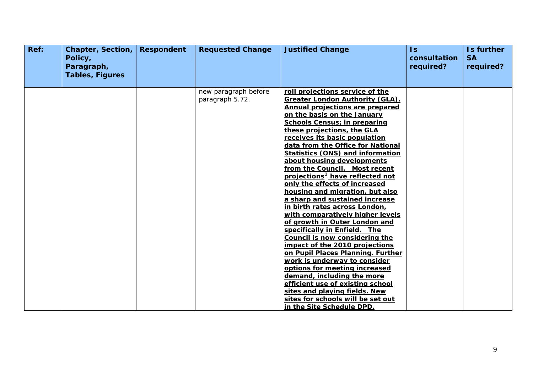<span id="page-8-0"></span>

| Ref: | <b>Chapter, Section,</b><br>Policy,<br>Paragraph,<br><b>Tables, Figures</b> | <b>Respondent</b> | <b>Requested Change</b>                 | <b>Justified Change</b>                                                                                                                                                                                                                                                                                                                                                                                                                                                                                                                                                                                                                                                                                                                                                                                                                                                                                                                                                                                                                    | $\overline{1s}$<br>consultation<br>required? | Is further<br><b>SA</b><br>required? |
|------|-----------------------------------------------------------------------------|-------------------|-----------------------------------------|--------------------------------------------------------------------------------------------------------------------------------------------------------------------------------------------------------------------------------------------------------------------------------------------------------------------------------------------------------------------------------------------------------------------------------------------------------------------------------------------------------------------------------------------------------------------------------------------------------------------------------------------------------------------------------------------------------------------------------------------------------------------------------------------------------------------------------------------------------------------------------------------------------------------------------------------------------------------------------------------------------------------------------------------|----------------------------------------------|--------------------------------------|
|      |                                                                             |                   | new paragraph before<br>paragraph 5.72. | roll projections service of the<br><b>Greater London Authority (GLA).</b><br>Annual projections are prepared<br>on the basis on the January<br><b>Schools Census; in preparing</b><br>these projections, the GLA<br>receives its basic population<br>data from the Office for National<br><b>Statistics (ONS) and information</b><br>about housing developments<br>from the Council. Most recent<br>projections <sup>1</sup> have reflected not<br>only the effects of increased<br>housing and migration, but also<br>a sharp and sustained increase<br>in birth rates across London,<br>with comparatively higher levels<br>of growth in Outer London and<br>specifically in Enfield. The<br>Council is now considering the<br>impact of the 2010 projections<br>on Pupil Places Planning. Further<br>work is underway to consider<br>options for meeting increased<br>demand, including the more<br>efficient use of existing school<br>sites and playing fields. New<br>sites for schools will be set out<br>in the Site Schedule DPD. |                                              |                                      |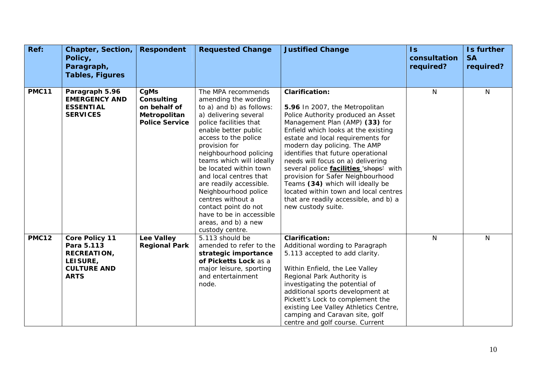| Ref:         | <b>Chapter, Section,</b><br>Policy,<br>Paragraph,                                                          | <b>Respondent</b>                                                           | <b>Requested Change</b>                                                                                                                                                                                                                                                                                                                                                                                                                                                    | <b>Justified Change</b>                                                                                                                                                                                                                                                                                                                                                                                                                                                                                                                                  | $\overline{1s}$<br>consultation<br>required? | Is further<br><b>SA</b><br>required? |
|--------------|------------------------------------------------------------------------------------------------------------|-----------------------------------------------------------------------------|----------------------------------------------------------------------------------------------------------------------------------------------------------------------------------------------------------------------------------------------------------------------------------------------------------------------------------------------------------------------------------------------------------------------------------------------------------------------------|----------------------------------------------------------------------------------------------------------------------------------------------------------------------------------------------------------------------------------------------------------------------------------------------------------------------------------------------------------------------------------------------------------------------------------------------------------------------------------------------------------------------------------------------------------|----------------------------------------------|--------------------------------------|
|              | <b>Tables, Figures</b>                                                                                     |                                                                             |                                                                                                                                                                                                                                                                                                                                                                                                                                                                            |                                                                                                                                                                                                                                                                                                                                                                                                                                                                                                                                                          |                                              |                                      |
| <b>PMC11</b> | Paragraph 5.96<br><b>EMERGENCY AND</b><br><b>ESSENTIAL</b><br><b>SERVICES</b>                              | CgMs<br>Consulting<br>on behalf of<br>Metropolitan<br><b>Police Service</b> | The MPA recommends<br>amending the wording<br>to a) and b) as follows:<br>a) delivering several<br>police facilities that<br>enable better public<br>access to the police<br>provision for<br>neighbourhood policing<br>teams which will ideally<br>be located within town<br>and local centres that<br>are readily accessible.<br>Neighbourhood police<br>centres without a<br>contact point do not<br>have to be in accessible<br>areas, and b) a new<br>custody centre. | <b>Clarification:</b><br>5.96 In 2007, the Metropolitan<br>Police Authority produced an Asset<br>Management Plan (AMP) (33) for<br>Enfield which looks at the existing<br>estate and local requirements for<br>modern day policing. The AMP<br>identifies that future operational<br>needs will focus on a) delivering<br>several police <i>facilities</i> 'shops' with<br>provision for Safer Neighbourhood<br>Teams (34) which will ideally be<br>located within town and local centres<br>that are readily accessible, and b) a<br>new custody suite. | N                                            | $\mathsf{N}$                         |
| <b>PMC12</b> | <b>Core Policy 11</b><br>Para 5.113<br><b>RECREATION,</b><br>LEISURE,<br><b>CULTURE AND</b><br><b>ARTS</b> | <b>Lee Valley</b><br><b>Regional Park</b>                                   | 5.113 should be<br>amended to refer to the<br>strategic importance<br>of Picketts Lock as a<br>major leisure, sporting<br>and entertainment<br>node.                                                                                                                                                                                                                                                                                                                       | <b>Clarification:</b><br>Additional wording to Paragraph<br>5.113 accepted to add clarity.<br>Within Enfield, the Lee Valley<br>Regional Park Authority is<br>investigating the potential of<br>additional sports development at<br>Pickett's Lock to complement the<br>existing Lee Valley Athletics Centre,<br>camping and Caravan site, golf<br>centre and golf course. Current                                                                                                                                                                       | N                                            | $\mathsf{N}$                         |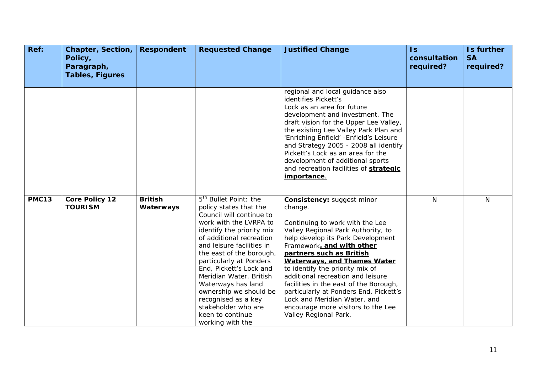| Ref:         | <b>Chapter, Section,</b><br>Policy,<br>Paragraph,<br><b>Tables, Figures</b> | <b>Respondent</b>           | <b>Requested Change</b>                                                                                                                                                                                                                                                                                                                                                                                                                                    | <b>Justified Change</b>                                                                                                                                                                                                                                                                                                                                                                                                                                                                                              | $\mathsf{ls}$<br>consultation<br>required? | Is further<br><b>SA</b><br>required? |
|--------------|-----------------------------------------------------------------------------|-----------------------------|------------------------------------------------------------------------------------------------------------------------------------------------------------------------------------------------------------------------------------------------------------------------------------------------------------------------------------------------------------------------------------------------------------------------------------------------------------|----------------------------------------------------------------------------------------------------------------------------------------------------------------------------------------------------------------------------------------------------------------------------------------------------------------------------------------------------------------------------------------------------------------------------------------------------------------------------------------------------------------------|--------------------------------------------|--------------------------------------|
|              |                                                                             |                             |                                                                                                                                                                                                                                                                                                                                                                                                                                                            | regional and local guidance also<br>identifies Pickett's<br>Lock as an area for future<br>development and investment. The<br>draft vision for the Upper Lee Valley,<br>the existing Lee Valley Park Plan and<br>'Enriching Enfield' - Enfield's Leisure<br>and Strategy 2005 - 2008 all identify<br>Pickett's Lock as an area for the<br>development of additional sports<br>and recreation facilities of strategic<br>importance.                                                                                   |                                            |                                      |
| <b>PMC13</b> | <b>Core Policy 12</b><br><b>TOURISM</b>                                     | <b>British</b><br>Waterways | 5 <sup>th</sup> Bullet Point: the<br>policy states that the<br>Council will continue to<br>work with the LVRPA to<br>identify the priority mix<br>of additional recreation<br>and leisure facilities in<br>the east of the borough,<br>particularly at Ponders<br>End, Pickett's Lock and<br>Meridian Water. British<br>Waterways has land<br>ownership we should be<br>recognised as a key<br>stakeholder who are<br>keen to continue<br>working with the | <b>Consistency: suggest minor</b><br>change.<br>Continuing to work with the Lee<br>Valley Regional Park Authority, to<br>help develop its Park Development<br>Framework, and with other<br>partners such as British<br><b>Waterways, and Thames Water</b><br>to identify the priority mix of<br>additional recreation and leisure<br>facilities in the east of the Borough,<br>particularly at Ponders End, Pickett's<br>Lock and Meridian Water, and<br>encourage more visitors to the Lee<br>Valley Regional Park. | $\mathsf{N}$                               | N                                    |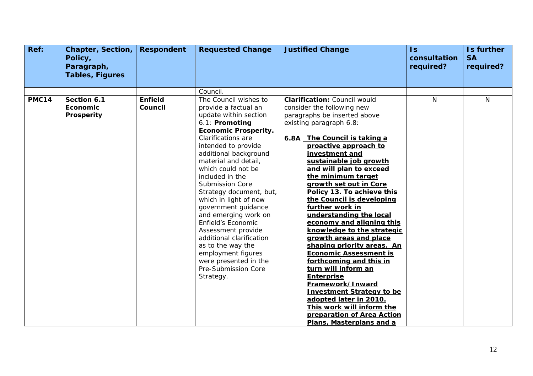| Ref:         | <b>Chapter, Section,</b><br>Policy,<br>Paragraph,<br><b>Tables, Figures</b> | <b>Respondent</b>         | <b>Requested Change</b>                                                                                                                                                                                                                                                                                                                                                                                                                                                                                                                                              | <b>Justified Change</b>                                                                                                                                                                                                                                                                                                                                                                                                                                                                                                                                                                                                                                                                                                                                                                                                   | $\overline{1s}$<br>consultation<br>required? | Is further<br><b>SA</b><br>required? |
|--------------|-----------------------------------------------------------------------------|---------------------------|----------------------------------------------------------------------------------------------------------------------------------------------------------------------------------------------------------------------------------------------------------------------------------------------------------------------------------------------------------------------------------------------------------------------------------------------------------------------------------------------------------------------------------------------------------------------|---------------------------------------------------------------------------------------------------------------------------------------------------------------------------------------------------------------------------------------------------------------------------------------------------------------------------------------------------------------------------------------------------------------------------------------------------------------------------------------------------------------------------------------------------------------------------------------------------------------------------------------------------------------------------------------------------------------------------------------------------------------------------------------------------------------------------|----------------------------------------------|--------------------------------------|
|              |                                                                             |                           | Council.                                                                                                                                                                                                                                                                                                                                                                                                                                                                                                                                                             |                                                                                                                                                                                                                                                                                                                                                                                                                                                                                                                                                                                                                                                                                                                                                                                                                           |                                              |                                      |
| <b>PMC14</b> | Section 6.1<br>Economic<br><b>Prosperity</b>                                | <b>Enfield</b><br>Council | The Council wishes to<br>provide a factual an<br>update within section<br>6.1: Promoting<br><b>Economic Prosperity.</b><br>Clarifications are<br>intended to provide<br>additional background<br>material and detail,<br>which could not be<br>included in the<br>Submission Core<br>Strategy document, but,<br>which in light of new<br>government guidance<br>and emerging work on<br>Enfield's Economic<br>Assessment provide<br>additional clarification<br>as to the way the<br>employment figures<br>were presented in the<br>Pre-Submission Core<br>Strategy. | <b>Clarification: Council would</b><br>consider the following new<br>paragraphs be inserted above<br>existing paragraph 6.8:<br>6.8A The Council is taking a<br>proactive approach to<br>investment and<br>sustainable job growth<br>and will plan to exceed<br>the minimum target<br>growth set out in Core<br>Policy 13. To achieve this<br>the Council is developing<br>further work in<br>understanding the local<br>economy and aligning this<br>knowledge to the strategic<br>growth areas and place<br>shaping priority areas. An<br><b>Economic Assessment is</b><br>forthcoming and this in<br>turn will inform an<br><b>Enterprise</b><br>Framework/Inward<br><b>Investment Strategy to be</b><br>adopted later in 2010.<br>This work will inform the<br>preparation of Area Action<br>Plans, Masterplans and a | N                                            | N                                    |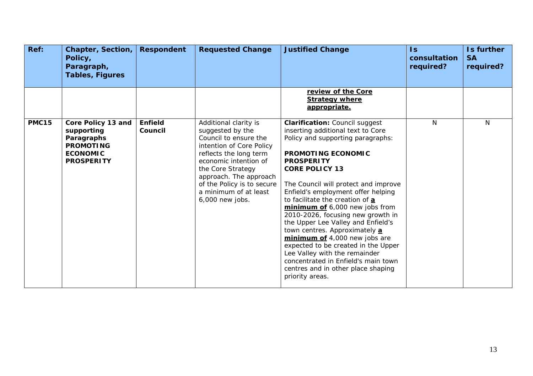| Ref:         | Chapter, Section,<br>Policy,<br>Paragraph,<br><b>Tables, Figures</b>                                       | <b>Respondent</b>         | <b>Requested Change</b>                                                                                                                                                                                                                                                    | <b>Justified Change</b>                                                                                                                                                                                                                                                                                                                                                                                                                                                                                                                                                                                                                                            | $\mathsf{Is}$<br>consultation<br>required? | Is further<br><b>SA</b><br>required? |
|--------------|------------------------------------------------------------------------------------------------------------|---------------------------|----------------------------------------------------------------------------------------------------------------------------------------------------------------------------------------------------------------------------------------------------------------------------|--------------------------------------------------------------------------------------------------------------------------------------------------------------------------------------------------------------------------------------------------------------------------------------------------------------------------------------------------------------------------------------------------------------------------------------------------------------------------------------------------------------------------------------------------------------------------------------------------------------------------------------------------------------------|--------------------------------------------|--------------------------------------|
|              |                                                                                                            |                           |                                                                                                                                                                                                                                                                            | review of the Core<br><b>Strategy where</b><br>appropriate.                                                                                                                                                                                                                                                                                                                                                                                                                                                                                                                                                                                                        |                                            |                                      |
| <b>PMC15</b> | Core Policy 13 and<br>supporting<br>Paragraphs<br><b>PROMOTING</b><br><b>ECONOMIC</b><br><b>PROSPERITY</b> | <b>Enfield</b><br>Council | Additional clarity is<br>suggested by the<br>Council to ensure the<br>intention of Core Policy<br>reflects the long term<br>economic intention of<br>the Core Strategy<br>approach. The approach<br>of the Policy is to secure<br>a minimum of at least<br>6,000 new jobs. | <b>Clarification: Council suggest</b><br>inserting additional text to Core<br>Policy and supporting paragraphs:<br><b>PROMOTING ECONOMIC</b><br><b>PROSPERITY</b><br><b>CORE POLICY 13</b><br>The Council will protect and improve<br>Enfield's employment offer helping<br>to facilitate the creation of a<br>minimum of 6,000 new jobs from<br>2010-2026, focusing new growth in<br>the Upper Lee Valley and Enfield's<br>town centres. Approximately a<br>minimum of 4,000 new jobs are<br>expected to be created in the Upper<br>Lee Valley with the remainder<br>concentrated in Enfield's main town<br>centres and in other place shaping<br>priority areas. | $\mathsf{N}$                               | N                                    |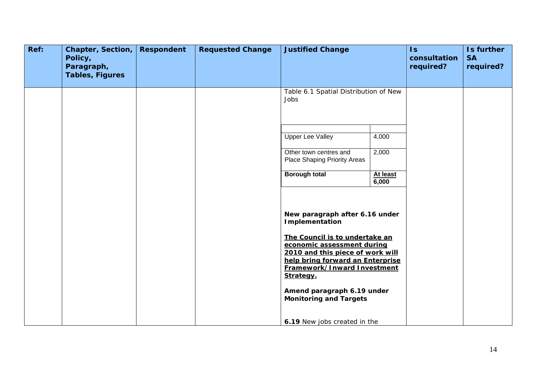| Ref: | Chapter, Section,<br>Policy,<br>Paragraph, | <b>Respondent</b> | <b>Requested Change</b> | <b>Justified Change</b>                                                                                                                                                          |                   | $\mathsf{Is}$<br>consultation<br>required? | Is further<br><b>SA</b><br>required? |
|------|--------------------------------------------|-------------------|-------------------------|----------------------------------------------------------------------------------------------------------------------------------------------------------------------------------|-------------------|--------------------------------------------|--------------------------------------|
|      | <b>Tables, Figures</b>                     |                   |                         |                                                                                                                                                                                  |                   |                                            |                                      |
|      |                                            |                   |                         | Table 6.1 Spatial Distribution of New<br>Jobs                                                                                                                                    |                   |                                            |                                      |
|      |                                            |                   |                         | <b>Upper Lee Valley</b>                                                                                                                                                          | 4,000             |                                            |                                      |
|      |                                            |                   |                         | Other town centres and<br>Place Shaping Priority Areas                                                                                                                           | 2,000             |                                            |                                      |
|      |                                            |                   |                         | <b>Borough total</b>                                                                                                                                                             | At least<br>6,000 |                                            |                                      |
|      |                                            |                   |                         | New paragraph after 6.16 under<br>Implementation                                                                                                                                 |                   |                                            |                                      |
|      |                                            |                   |                         | The Council is to undertake an<br>economic assessment during<br>2010 and this piece of work will<br>help bring forward an Enterprise<br>Framework/Inward Investment<br>Strategy. |                   |                                            |                                      |
|      |                                            |                   |                         | Amend paragraph 6.19 under<br><b>Monitoring and Targets</b>                                                                                                                      |                   |                                            |                                      |
|      |                                            |                   |                         | 6.19 New jobs created in the                                                                                                                                                     |                   |                                            |                                      |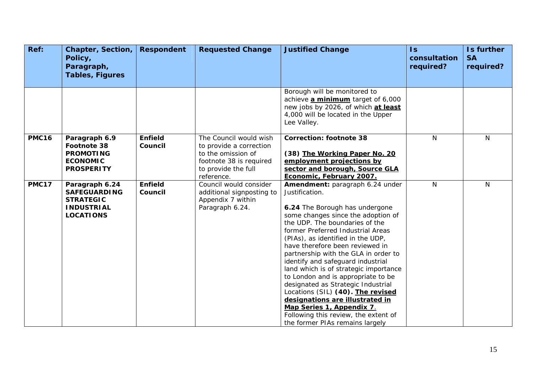| Ref:         | <b>Chapter, Section,</b><br>Policy,<br>Paragraph,<br><b>Tables, Figures</b>                        | <b>Respondent</b>         | <b>Requested Change</b>                                                                                                                 | <b>Justified Change</b>                                                                                                                                                                                                                                                                                                                                                                                                                                                                                                                                                                                                                                    | $\mathsf{ls}$<br>consultation<br>required? | Is further<br><b>SA</b><br>required? |
|--------------|----------------------------------------------------------------------------------------------------|---------------------------|-----------------------------------------------------------------------------------------------------------------------------------------|------------------------------------------------------------------------------------------------------------------------------------------------------------------------------------------------------------------------------------------------------------------------------------------------------------------------------------------------------------------------------------------------------------------------------------------------------------------------------------------------------------------------------------------------------------------------------------------------------------------------------------------------------------|--------------------------------------------|--------------------------------------|
|              |                                                                                                    |                           |                                                                                                                                         | Borough will be monitored to<br>achieve a minimum target of 6,000<br>new jobs by 2026, of which at least<br>4,000 will be located in the Upper<br>Lee Valley.                                                                                                                                                                                                                                                                                                                                                                                                                                                                                              |                                            |                                      |
| <b>PMC16</b> | Paragraph 6.9<br>Footnote 38<br><b>PROMOTING</b><br><b>ECONOMIC</b><br><b>PROSPERITY</b>           | <b>Enfield</b><br>Council | The Council would wish<br>to provide a correction<br>to the omission of<br>footnote 38 is required<br>to provide the full<br>reference. | <b>Correction: footnote 38</b><br>(38) The Working Paper No. 20<br>employment projections by<br>sector and borough, Source GLA<br>Economic, February 2007.                                                                                                                                                                                                                                                                                                                                                                                                                                                                                                 | N                                          | N                                    |
| <b>PMC17</b> | Paragraph 6.24<br><b>SAFEGUARDING</b><br><b>STRATEGIC</b><br><b>INDUSTRIAL</b><br><b>LOCATIONS</b> | <b>Enfield</b><br>Council | Council would consider<br>additional signposting to<br>Appendix 7 within<br>Paragraph 6.24.                                             | Amendment: paragraph 6.24 under<br>Justification.<br>6.24 The Borough has undergone<br>some changes since the adoption of<br>the UDP. The boundaries of the<br>former Preferred Industrial Areas<br>(PIAs), as identified in the UDP,<br>have therefore been reviewed in<br>partnership with the GLA in order to<br>identify and safeguard industrial<br>land which is of strategic importance<br>to London and is appropriate to be<br>designated as Strategic Industrial<br>Locations (SIL) (40). The revised<br>designations are illustrated in<br>Map Series 1, Appendix 7.<br>Following this review, the extent of<br>the former PIAs remains largely | N                                          | N                                    |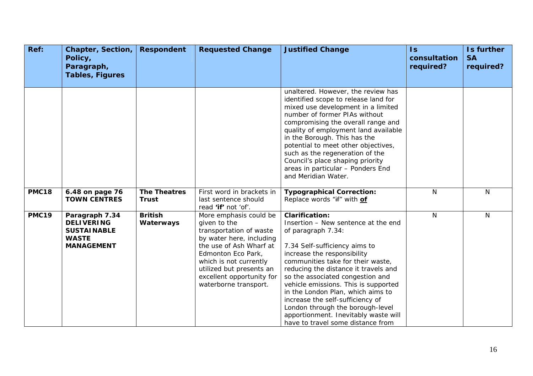| Ref:         | <b>Chapter, Section,</b><br>Policy,<br>Paragraph,<br><b>Tables, Figures</b>                    | <b>Respondent</b>                   | <b>Requested Change</b>                                                                                                                                                                                                                                    | <b>Justified Change</b>                                                                                                                                                                                                                                                                                                                                                                                                                                                                               | $\mathsf{ls}$<br>consultation<br>required? | Is further<br><b>SA</b><br>required? |
|--------------|------------------------------------------------------------------------------------------------|-------------------------------------|------------------------------------------------------------------------------------------------------------------------------------------------------------------------------------------------------------------------------------------------------------|-------------------------------------------------------------------------------------------------------------------------------------------------------------------------------------------------------------------------------------------------------------------------------------------------------------------------------------------------------------------------------------------------------------------------------------------------------------------------------------------------------|--------------------------------------------|--------------------------------------|
|              |                                                                                                |                                     |                                                                                                                                                                                                                                                            | unaltered. However, the review has<br>identified scope to release land for<br>mixed use development in a limited<br>number of former PIAs without<br>compromising the overall range and<br>quality of employment land available<br>in the Borough. This has the<br>potential to meet other objectives,<br>such as the regeneration of the<br>Council's place shaping priority<br>areas in particular - Ponders End<br>and Meridian Water.                                                             |                                            |                                      |
| <b>PMC18</b> | 6.48 on page 76<br><b>TOWN CENTRES</b>                                                         | <b>The Theatres</b><br><b>Trust</b> | First word in brackets in<br>last sentence should<br>read 'if' not 'of'.                                                                                                                                                                                   | <b>Typographical Correction:</b><br>Replace words "if" with of                                                                                                                                                                                                                                                                                                                                                                                                                                        | $\mathsf{N}$                               | N                                    |
| <b>PMC19</b> | Paragraph 7.34<br><b>DELIVERING</b><br><b>SUSTAINABLE</b><br><b>WASTE</b><br><b>MANAGEMENT</b> | <b>British</b><br>Waterways         | More emphasis could be<br>given to the<br>transportation of waste<br>by water here, including<br>the use of Ash Wharf at<br>Edmonton Eco Park,<br>which is not currently<br>utilized but presents an<br>excellent opportunity for<br>waterborne transport. | <b>Clarification:</b><br>Insertion - New sentence at the end<br>of paragraph 7.34:<br>7.34 Self-sufficiency aims to<br>increase the responsibility<br>communities take for their waste,<br>reducing the distance it travels and<br>so the associated congestion and<br>vehicle emissions. This is supported<br>in the London Plan, which aims to<br>increase the self-sufficiency of<br>London through the borough-level<br>apportionment. Inevitably waste will<br>have to travel some distance from | $\mathsf{N}$                               | N                                    |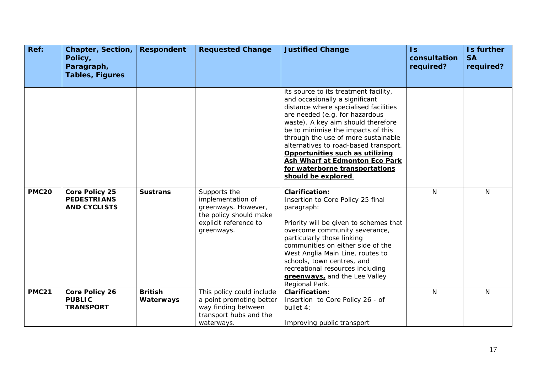| Ref:         | <b>Chapter, Section,</b><br>Policy,<br>Paragraph,<br><b>Tables, Figures</b> | <b>Respondent</b>           | <b>Requested Change</b>                                                                                                   | <b>Justified Change</b>                                                                                                                                                                                                                                                                                                                                                                                                                      | $\overline{\mathsf{ls}}$<br>consultation<br>required? | Is further<br><b>SA</b><br>required? |
|--------------|-----------------------------------------------------------------------------|-----------------------------|---------------------------------------------------------------------------------------------------------------------------|----------------------------------------------------------------------------------------------------------------------------------------------------------------------------------------------------------------------------------------------------------------------------------------------------------------------------------------------------------------------------------------------------------------------------------------------|-------------------------------------------------------|--------------------------------------|
|              |                                                                             |                             |                                                                                                                           | its source to its treatment facility,<br>and occasionally a significant<br>distance where specialised facilities<br>are needed (e.g. for hazardous<br>waste). A key aim should therefore<br>be to minimise the impacts of this<br>through the use of more sustainable<br>alternatives to road-based transport.<br>Opportunities such as utilizing<br>Ash Wharf at Edmonton Eco Park<br>for waterborne transportations<br>should be explored. |                                                       |                                      |
| <b>PMC20</b> | <b>Core Policy 25</b><br><b>PEDESTRIANS</b><br><b>AND CYCLISTS</b>          | <b>Sustrans</b>             | Supports the<br>implementation of<br>greenways. However,<br>the policy should make<br>explicit reference to<br>greenways. | <b>Clarification:</b><br>Insertion to Core Policy 25 final<br>paragraph:<br>Priority will be given to schemes that<br>overcome community severance,<br>particularly those linking<br>communities on either side of the<br>West Anglia Main Line, routes to<br>schools, town centres, and<br>recreational resources including<br>greenways, and the Lee Valley<br>Regional Park.                                                              | N                                                     | $\mathsf{N}$                         |
| <b>PMC21</b> | <b>Core Policy 26</b><br><b>PUBLIC</b><br><b>TRANSPORT</b>                  | <b>British</b><br>Waterways | This policy could include<br>a point promoting better<br>way finding between<br>transport hubs and the<br>waterways.      | <b>Clarification:</b><br>Insertion to Core Policy 26 - of<br>bullet 4:<br>Improving public transport                                                                                                                                                                                                                                                                                                                                         | N                                                     | N                                    |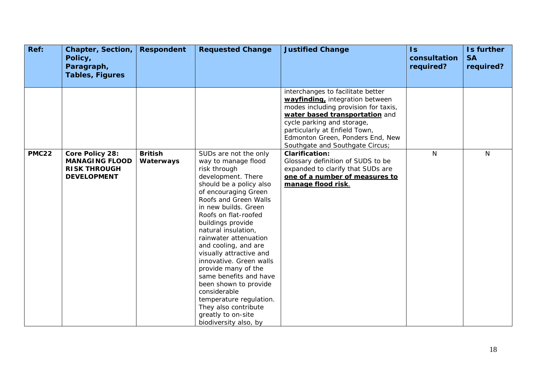| Ref:         | <b>Chapter, Section,</b><br>Policy,<br>Paragraph,<br><b>Tables, Figures</b>           | <b>Respondent</b>           | <b>Requested Change</b>                                                                                                                                                                                                                                                                                                                                                                                                                                                                                                                                       | <b>Justified Change</b>                                                                                                                                                                                                                                                              | $\overline{1s}$<br>consultation<br>required? | Is further<br><b>SA</b><br>required? |
|--------------|---------------------------------------------------------------------------------------|-----------------------------|---------------------------------------------------------------------------------------------------------------------------------------------------------------------------------------------------------------------------------------------------------------------------------------------------------------------------------------------------------------------------------------------------------------------------------------------------------------------------------------------------------------------------------------------------------------|--------------------------------------------------------------------------------------------------------------------------------------------------------------------------------------------------------------------------------------------------------------------------------------|----------------------------------------------|--------------------------------------|
|              |                                                                                       |                             |                                                                                                                                                                                                                                                                                                                                                                                                                                                                                                                                                               |                                                                                                                                                                                                                                                                                      |                                              |                                      |
|              |                                                                                       |                             |                                                                                                                                                                                                                                                                                                                                                                                                                                                                                                                                                               | interchanges to facilitate better<br>wayfinding, integration between<br>modes including provision for taxis,<br>water based transportation and<br>cycle parking and storage,<br>particularly at Enfield Town,<br>Edmonton Green, Ponders End, New<br>Southgate and Southgate Circus; |                                              |                                      |
| <b>PMC22</b> | Core Policy 28:<br><b>MANAGING FLOOD</b><br><b>RISK THROUGH</b><br><b>DEVELOPMENT</b> | <b>British</b><br>Waterways | SUDs are not the only<br>way to manage flood<br>risk through<br>development. There<br>should be a policy also<br>of encouraging Green<br>Roofs and Green Walls<br>in new builds. Green<br>Roofs on flat-roofed<br>buildings provide<br>natural insulation,<br>rainwater attenuation<br>and cooling, and are<br>visually attractive and<br>innovative. Green walls<br>provide many of the<br>same benefits and have<br>been shown to provide<br>considerable<br>temperature regulation.<br>They also contribute<br>greatly to on-site<br>biodiversity also, by | <b>Clarification:</b><br>Glossary definition of SUDS to be<br>expanded to clarify that SUDs are<br>one of a number of measures to<br>manage flood risk.                                                                                                                              | N                                            | N                                    |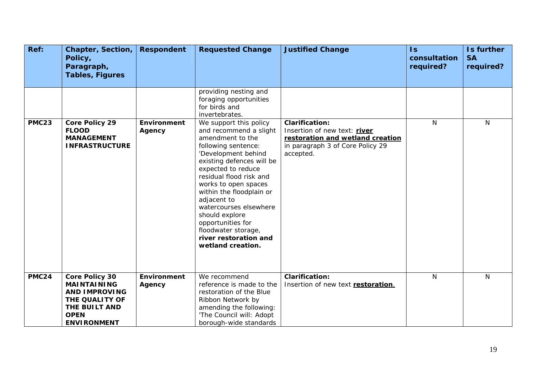| Ref:         | <b>Chapter, Section,</b><br>Policy,<br>Paragraph,<br><b>Tables, Figures</b>                                                                 | <b>Respondent</b>            | <b>Requested Change</b>                                                                                                                                                                                                                                                                                                                                                                                   | <b>Justified Change</b>                                                                                                                    | $\mathsf{Is}$<br>consultation<br>required? | Is further<br><b>SA</b><br>required? |
|--------------|---------------------------------------------------------------------------------------------------------------------------------------------|------------------------------|-----------------------------------------------------------------------------------------------------------------------------------------------------------------------------------------------------------------------------------------------------------------------------------------------------------------------------------------------------------------------------------------------------------|--------------------------------------------------------------------------------------------------------------------------------------------|--------------------------------------------|--------------------------------------|
|              |                                                                                                                                             |                              | providing nesting and<br>foraging opportunities<br>for birds and<br>invertebrates.                                                                                                                                                                                                                                                                                                                        |                                                                                                                                            |                                            |                                      |
| <b>PMC23</b> | <b>Core Policy 29</b><br><b>FLOOD</b><br><b>MANAGEMENT</b><br><b>INFRASTRUCTURE</b>                                                         | Environment<br>Agency        | We support this policy<br>and recommend a slight<br>amendment to the<br>following sentence:<br>'Development behind<br>existing defences will be<br>expected to reduce<br>residual flood risk and<br>works to open spaces<br>within the floodplain or<br>adjacent to<br>watercourses elsewhere<br>should explore<br>opportunities for<br>floodwater storage,<br>river restoration and<br>wetland creation. | <b>Clarification:</b><br>Insertion of new text: river<br>restoration and wetland creation<br>in paragraph 3 of Core Policy 29<br>accepted. | $\mathsf{N}$                               | N                                    |
| <b>PMC24</b> | <b>Core Policy 30</b><br><b>MAINTAINING</b><br><b>AND IMPROVING</b><br>THE QUALITY OF<br>THE BUILT AND<br><b>OPEN</b><br><b>ENVIRONMENT</b> | <b>Environment</b><br>Agency | We recommend<br>reference is made to the<br>restoration of the Blue<br>Ribbon Network by<br>amending the following:<br>'The Council will: Adopt<br>borough-wide standards                                                                                                                                                                                                                                 | <b>Clarification:</b><br>Insertion of new text restoration.                                                                                | $\mathsf{N}$                               | $\mathsf{N}$                         |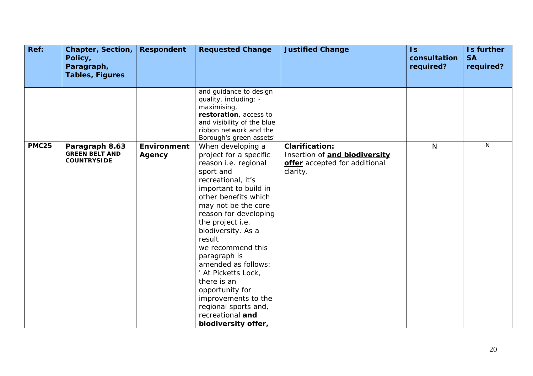| Ref:<br><b>Chapter, Section,</b><br>Policy,<br>Paragraph,                     | <b>Respondent</b>            | <b>Requested Change</b>                                                                                                                                                                                                                                                                                                                                                                                                                                                    | <b>Justified Change</b>                                                                             | $\mathsf{ls}$<br>consultation<br>required? | Is further<br><b>SA</b><br>required? |
|-------------------------------------------------------------------------------|------------------------------|----------------------------------------------------------------------------------------------------------------------------------------------------------------------------------------------------------------------------------------------------------------------------------------------------------------------------------------------------------------------------------------------------------------------------------------------------------------------------|-----------------------------------------------------------------------------------------------------|--------------------------------------------|--------------------------------------|
| <b>Tables, Figures</b>                                                        |                              |                                                                                                                                                                                                                                                                                                                                                                                                                                                                            |                                                                                                     |                                            |                                      |
|                                                                               |                              | and guidance to design<br>quality, including: -<br>maximising,<br>restoration, access to<br>and visibility of the blue<br>ribbon network and the<br>Borough's green assets'                                                                                                                                                                                                                                                                                                |                                                                                                     |                                            |                                      |
| <b>PMC25</b><br>Paragraph 8.63<br><b>GREEN BELT AND</b><br><b>COUNTRYSIDE</b> | <b>Environment</b><br>Agency | When developing a<br>project for a specific<br>reason i.e. regional<br>sport and<br>recreational, it's<br>important to build in<br>other benefits which<br>may not be the core<br>reason for developing<br>the project i.e.<br>biodiversity. As a<br>result<br>we recommend this<br>paragraph is<br>amended as follows:<br>' At Picketts Lock,<br>there is an<br>opportunity for<br>improvements to the<br>regional sports and,<br>recreational and<br>biodiversity offer, | <b>Clarification:</b><br>Insertion of and biodiversity<br>offer accepted for additional<br>clarity. | $\mathsf{N}$                               | N                                    |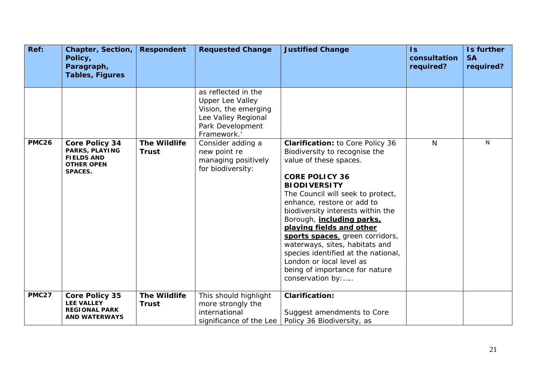| Ref:         | <b>Chapter, Section,</b><br>Policy,<br>Paragraph,                                                   | <b>Respondent</b>                   | <b>Requested Change</b>                                                                                                          | <b>Justified Change</b>                                                                                                                                                                                                                                                                                                                                                                                                                                                                                                   | $\mathsf{ls}$<br>consultation<br>required? | Is further<br><b>SA</b><br>required? |
|--------------|-----------------------------------------------------------------------------------------------------|-------------------------------------|----------------------------------------------------------------------------------------------------------------------------------|---------------------------------------------------------------------------------------------------------------------------------------------------------------------------------------------------------------------------------------------------------------------------------------------------------------------------------------------------------------------------------------------------------------------------------------------------------------------------------------------------------------------------|--------------------------------------------|--------------------------------------|
|              | <b>Tables, Figures</b>                                                                              |                                     |                                                                                                                                  |                                                                                                                                                                                                                                                                                                                                                                                                                                                                                                                           |                                            |                                      |
|              |                                                                                                     |                                     | as reflected in the<br><b>Upper Lee Valley</b><br>Vision, the emerging<br>Lee Valley Regional<br>Park Development<br>Framework.' |                                                                                                                                                                                                                                                                                                                                                                                                                                                                                                                           |                                            |                                      |
| <b>PMC26</b> | <b>Core Policy 34</b><br>PARKS, PLAYING<br><b>FIELDS AND</b><br><b>OTHER OPEN</b><br><b>SPACES.</b> | <b>The Wildlife</b><br><b>Trust</b> | Consider adding a<br>new point re<br>managing positively<br>for biodiversity:                                                    | <b>Clarification:</b> to Core Policy 36<br>Biodiversity to recognise the<br>value of these spaces.<br><b>CORE POLICY 36</b><br><b>BIODIVERSITY</b><br>The Council will seek to protect,<br>enhance, restore or add to<br>biodiversity interests within the<br>Borough, <i>including parks</i> ,<br>playing fields and other<br>sports spaces, green corridors,<br>waterways, sites, habitats and<br>species identified at the national,<br>London or local level as<br>being of importance for nature<br>conservation by: | N                                          | N                                    |
| <b>PMC27</b> | <b>Core Policy 35</b><br><b>LEE VALLEY</b><br><b>REGIONAL PARK</b><br><b>AND WATERWAYS</b>          | <b>The Wildlife</b><br><b>Trust</b> | This should highlight<br>more strongly the<br>international<br>significance of the Lee                                           | <b>Clarification:</b><br>Suggest amendments to Core<br>Policy 36 Biodiversity, as                                                                                                                                                                                                                                                                                                                                                                                                                                         |                                            |                                      |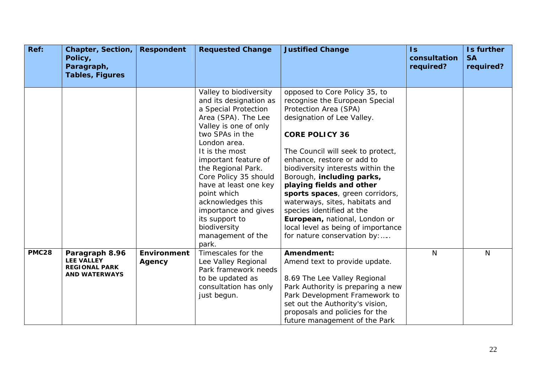| Ref:         | <b>Chapter, Section,</b><br>Policy,<br>Paragraph,<br><b>Tables, Figures</b>         | <b>Respondent</b>            | <b>Requested Change</b>                                                                                                                                                                                                                                                                                                                                                                                   | <b>Justified Change</b>                                                                                                                                                                                                                                                                                                                                                                                                                                                                                                  | $\mathsf{ls}$<br>consultation<br>required? | Is further<br><b>SA</b><br>required? |
|--------------|-------------------------------------------------------------------------------------|------------------------------|-----------------------------------------------------------------------------------------------------------------------------------------------------------------------------------------------------------------------------------------------------------------------------------------------------------------------------------------------------------------------------------------------------------|--------------------------------------------------------------------------------------------------------------------------------------------------------------------------------------------------------------------------------------------------------------------------------------------------------------------------------------------------------------------------------------------------------------------------------------------------------------------------------------------------------------------------|--------------------------------------------|--------------------------------------|
|              |                                                                                     |                              | Valley to biodiversity<br>and its designation as<br>a Special Protection<br>Area (SPA). The Lee<br>Valley is one of only<br>two SPAs in the<br>London area.<br>It is the most<br>important feature of<br>the Regional Park.<br>Core Policy 35 should<br>have at least one key<br>point which<br>acknowledges this<br>importance and gives<br>its support to<br>biodiversity<br>management of the<br>park. | opposed to Core Policy 35, to<br>recognise the European Special<br>Protection Area (SPA)<br>designation of Lee Valley.<br><b>CORE POLICY 36</b><br>The Council will seek to protect,<br>enhance, restore or add to<br>biodiversity interests within the<br>Borough, including parks,<br>playing fields and other<br>sports spaces, green corridors,<br>waterways, sites, habitats and<br>species identified at the<br>European, national, London or<br>local level as being of importance<br>for nature conservation by: |                                            |                                      |
| <b>PMC28</b> | Paragraph 8.96<br><b>LEE VALLEY</b><br><b>REGIONAL PARK</b><br><b>AND WATERWAYS</b> | <b>Environment</b><br>Agency | Timescales for the<br>Lee Valley Regional<br>Park framework needs<br>to be updated as<br>consultation has only<br>just begun.                                                                                                                                                                                                                                                                             | Amendment:<br>Amend text to provide update.<br>8.69 The Lee Valley Regional<br>Park Authority is preparing a new<br>Park Development Framework to<br>set out the Authority's vision,<br>proposals and policies for the<br>future management of the Park                                                                                                                                                                                                                                                                  | N                                          | N                                    |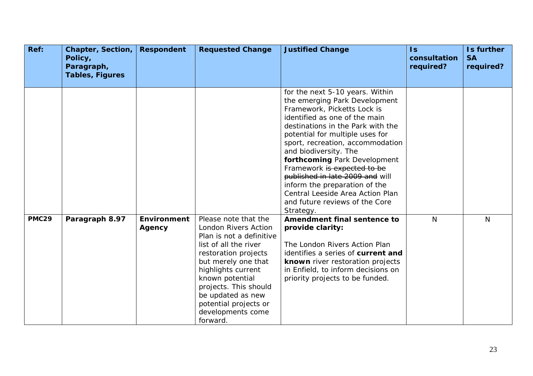| Ref:         | <b>Chapter, Section,</b><br>Policy,<br>Paragraph,<br><b>Tables, Figures</b> | <b>Respondent</b>            | <b>Requested Change</b>                                                                                                                                                                                                                                                                           | <b>Justified Change</b>                                                                                                                                                                                                                                                                                                                                                                                                                                                                     | $\overline{1s}$<br>consultation<br>required? | Is further<br><b>SA</b><br>required? |
|--------------|-----------------------------------------------------------------------------|------------------------------|---------------------------------------------------------------------------------------------------------------------------------------------------------------------------------------------------------------------------------------------------------------------------------------------------|---------------------------------------------------------------------------------------------------------------------------------------------------------------------------------------------------------------------------------------------------------------------------------------------------------------------------------------------------------------------------------------------------------------------------------------------------------------------------------------------|----------------------------------------------|--------------------------------------|
|              |                                                                             |                              |                                                                                                                                                                                                                                                                                                   |                                                                                                                                                                                                                                                                                                                                                                                                                                                                                             |                                              |                                      |
|              |                                                                             |                              |                                                                                                                                                                                                                                                                                                   | for the next 5-10 years. Within<br>the emerging Park Development<br>Framework, Picketts Lock is<br>identified as one of the main<br>destinations in the Park with the<br>potential for multiple uses for<br>sport, recreation, accommodation<br>and biodiversity. The<br>forthcoming Park Development<br>Framework is expected to be<br>published in late 2009 and will<br>inform the preparation of the<br>Central Leeside Area Action Plan<br>and future reviews of the Core<br>Strategy. |                                              |                                      |
| <b>PMC29</b> | Paragraph 8.97                                                              | <b>Environment</b><br>Agency | Please note that the<br>London Rivers Action<br>Plan is not a definitive<br>list of all the river<br>restoration projects<br>but merely one that<br>highlights current<br>known potential<br>projects. This should<br>be updated as new<br>potential projects or<br>developments come<br>forward. | Amendment final sentence to<br>provide clarity:<br>The London Rivers Action Plan<br>identifies a series of current and<br>known river restoration projects<br>in Enfield, to inform decisions on<br>priority projects to be funded.                                                                                                                                                                                                                                                         | $\mathsf{N}$                                 | N                                    |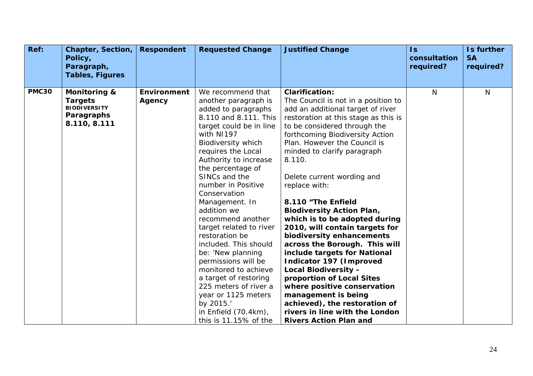| Ref:         | <b>Chapter, Section,</b><br>Policy,<br>Paragraph,                                              | <b>Respondent</b>            | <b>Requested Change</b>                                                                                                                                                                                                                                                                                                                                                                                                                                                                                                                                      | <b>Justified Change</b>                                                                                                                                                                                                                                                                                                                                                                                                                                                                                                                                                                                                                                                                               | $\mathsf{ls}$<br>consultation<br>required? | Is further<br><b>SA</b><br>required? |
|--------------|------------------------------------------------------------------------------------------------|------------------------------|--------------------------------------------------------------------------------------------------------------------------------------------------------------------------------------------------------------------------------------------------------------------------------------------------------------------------------------------------------------------------------------------------------------------------------------------------------------------------------------------------------------------------------------------------------------|-------------------------------------------------------------------------------------------------------------------------------------------------------------------------------------------------------------------------------------------------------------------------------------------------------------------------------------------------------------------------------------------------------------------------------------------------------------------------------------------------------------------------------------------------------------------------------------------------------------------------------------------------------------------------------------------------------|--------------------------------------------|--------------------------------------|
|              | <b>Tables, Figures</b>                                                                         |                              |                                                                                                                                                                                                                                                                                                                                                                                                                                                                                                                                                              |                                                                                                                                                                                                                                                                                                                                                                                                                                                                                                                                                                                                                                                                                                       |                                            |                                      |
| <b>PMC30</b> | <b>Monitoring &amp;</b><br><b>Targets</b><br><b>BIODIVERSITY</b><br>Paragraphs<br>8.110, 8.111 | <b>Environment</b><br>Agency | We recommend that<br>another paragraph is<br>added to paragraphs<br>8.110 and 8.111. This<br>target could be in line<br>with NI197<br>Biodiversity which<br>requires the Local<br>Authority to increase<br>the percentage of<br>SINCs and the<br>number in Positive<br>Conservation<br>Management. In<br>addition we<br>recommend another<br>target related to river<br>restoration be<br>included. This should<br>be: 'New planning<br>permissions will be<br>monitored to achieve<br>a target of restoring<br>225 meters of river a<br>year or 1125 meters | <b>Clarification:</b><br>The Council is not in a position to<br>add an additional target of river<br>restoration at this stage as this is<br>to be considered through the<br>forthcoming Biodiversity Action<br>Plan. However the Council is<br>minded to clarify paragraph<br>8.110.<br>Delete current wording and<br>replace with:<br>8.110 "The Enfield<br><b>Biodiversity Action Plan,</b><br>which is to be adopted during<br>2010, will contain targets for<br>biodiversity enhancements<br>across the Borough. This will<br>include targets for National<br>Indicator 197 (Improved<br>Local Biodiversity -<br>proportion of Local Sites<br>where positive conservation<br>management is being | N                                          | $\mathsf{N}$                         |
|              |                                                                                                |                              | by 2015.'<br>in Enfield (70.4km),<br>this is 11.15% of the                                                                                                                                                                                                                                                                                                                                                                                                                                                                                                   | achieved), the restoration of<br>rivers in line with the London<br><b>Rivers Action Plan and</b>                                                                                                                                                                                                                                                                                                                                                                                                                                                                                                                                                                                                      |                                            |                                      |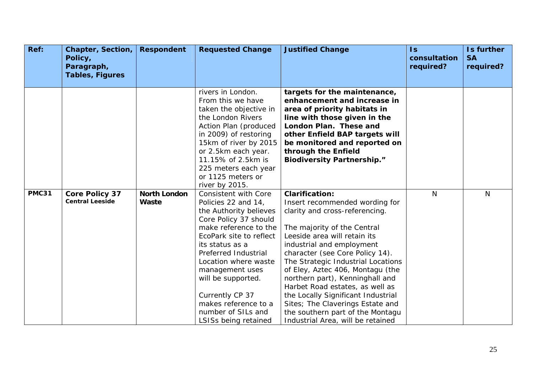| Ref:         | <b>Chapter, Section,</b><br>Policy,<br>Paragraph, | <b>Respondent</b>            | <b>Requested Change</b>                                                                                                                                                                                                                                                                                                                                        | <b>Justified Change</b>                                                                                                                                                                                                                                                                                                                                                                                                                                                                                                     | $\overline{1s}$<br>consultation<br>required? | Is further<br><b>SA</b><br>required? |
|--------------|---------------------------------------------------|------------------------------|----------------------------------------------------------------------------------------------------------------------------------------------------------------------------------------------------------------------------------------------------------------------------------------------------------------------------------------------------------------|-----------------------------------------------------------------------------------------------------------------------------------------------------------------------------------------------------------------------------------------------------------------------------------------------------------------------------------------------------------------------------------------------------------------------------------------------------------------------------------------------------------------------------|----------------------------------------------|--------------------------------------|
|              | <b>Tables, Figures</b>                            |                              |                                                                                                                                                                                                                                                                                                                                                                |                                                                                                                                                                                                                                                                                                                                                                                                                                                                                                                             |                                              |                                      |
|              |                                                   |                              | rivers in London.<br>From this we have<br>taken the objective in<br>the London Rivers<br>Action Plan (produced<br>in 2009) of restoring<br>15km of river by 2015<br>or 2.5km each year.<br>11.15% of 2.5km is<br>225 meters each year<br>or 1125 meters or<br>river by 2015.                                                                                   | targets for the maintenance,<br>enhancement and increase in<br>area of priority habitats in<br>line with those given in the<br>London Plan. These and<br>other Enfield BAP targets will<br>be monitored and reported on<br>through the Enfield<br><b>Biodiversity Partnership."</b>                                                                                                                                                                                                                                         |                                              |                                      |
| <b>PMC31</b> | <b>Core Policy 37</b><br><b>Central Leeside</b>   | <b>North London</b><br>Waste | <b>Consistent with Core</b><br>Policies 22 and 14,<br>the Authority believes<br>Core Policy 37 should<br>make reference to the<br>EcoPark site to reflect<br>its status as a<br>Preferred Industrial<br>Location where waste<br>management uses<br>will be supported.<br>Currently CP 37<br>makes reference to a<br>number of SILs and<br>LSISs being retained | <b>Clarification:</b><br>Insert recommended wording for<br>clarity and cross-referencing.<br>The majority of the Central<br>Leeside area will retain its<br>industrial and employment<br>character (see Core Policy 14).<br>The Strategic Industrial Locations<br>of Eley, Aztec 406, Montagu (the<br>northern part), Kenninghall and<br>Harbet Road estates, as well as<br>the Locally Significant Industrial<br>Sites; The Claverings Estate and<br>the southern part of the Montagu<br>Industrial Area, will be retained | $\mathsf{N}$                                 | N                                    |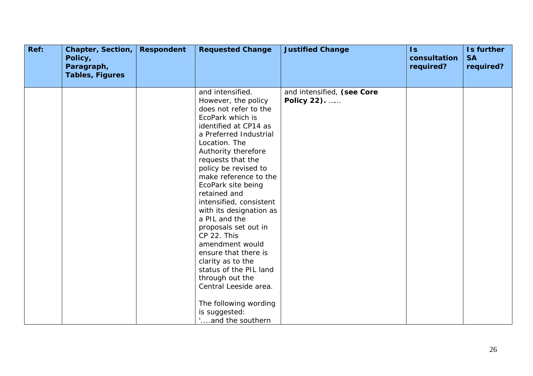| Ref: | Chapter, Section,<br>Policy,<br>Paragraph,<br><b>Tables, Figures</b> | <b>Respondent</b> | <b>Requested Change</b>                                                                                                                                                                                                                                                                                                                                                                                                                                                                                                                                                                                       | <b>Justified Change</b>                   | $\overline{1s}$<br>consultation<br>required? | Is further<br><b>SA</b><br>required? |
|------|----------------------------------------------------------------------|-------------------|---------------------------------------------------------------------------------------------------------------------------------------------------------------------------------------------------------------------------------------------------------------------------------------------------------------------------------------------------------------------------------------------------------------------------------------------------------------------------------------------------------------------------------------------------------------------------------------------------------------|-------------------------------------------|----------------------------------------------|--------------------------------------|
|      |                                                                      |                   | and intensified.<br>However, the policy<br>does not refer to the<br>EcoPark which is<br>identified at CP14 as<br>a Preferred Industrial<br>Location. The<br>Authority therefore<br>requests that the<br>policy be revised to<br>make reference to the<br>EcoPark site being<br>retained and<br>intensified, consistent<br>with its designation as<br>a PIL and the<br>proposals set out in<br>CP 22. This<br>amendment would<br>ensure that there is<br>clarity as to the<br>status of the PIL land<br>through out the<br>Central Leeside area.<br>The following wording<br>is suggested:<br>and the southern | and intensified, (see Core<br>Policy 22). |                                              |                                      |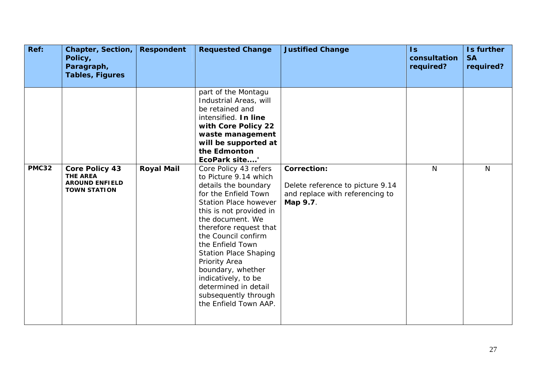| Ref:         | <b>Chapter, Section,</b><br>Policy,<br>Paragraph,<br><b>Tables, Figures</b>              | <b>Respondent</b> | <b>Requested Change</b>                                                                                                                                                                                                                                                                                                                                                                                                                                                                                                                                                                                                  | <b>Justified Change</b>                                                                               | $\overline{\mathsf{ls}}$<br>consultation<br>required? | Is further<br><b>SA</b><br>required? |
|--------------|------------------------------------------------------------------------------------------|-------------------|--------------------------------------------------------------------------------------------------------------------------------------------------------------------------------------------------------------------------------------------------------------------------------------------------------------------------------------------------------------------------------------------------------------------------------------------------------------------------------------------------------------------------------------------------------------------------------------------------------------------------|-------------------------------------------------------------------------------------------------------|-------------------------------------------------------|--------------------------------------|
| <b>PMC32</b> | <b>Core Policy 43</b><br><b>THE AREA</b><br><b>AROUND ENFIELD</b><br><b>TOWN STATION</b> | <b>Royal Mail</b> | part of the Montagu<br>Industrial Areas, will<br>be retained and<br>intensified. In line<br>with Core Policy 22<br>waste management<br>will be supported at<br>the Edmonton<br>EcoPark site'<br>Core Policy 43 refers<br>to Picture 9.14 which<br>details the boundary<br>for the Enfield Town<br><b>Station Place however</b><br>this is not provided in<br>the document. We<br>therefore request that<br>the Council confirm<br>the Enfield Town<br><b>Station Place Shaping</b><br>Priority Area<br>boundary, whether<br>indicatively, to be<br>determined in detail<br>subsequently through<br>the Enfield Town AAP. | <b>Correction:</b><br>Delete reference to picture 9.14<br>and replace with referencing to<br>Map 9.7. | $\mathsf{N}$                                          | $\mathsf{N}$                         |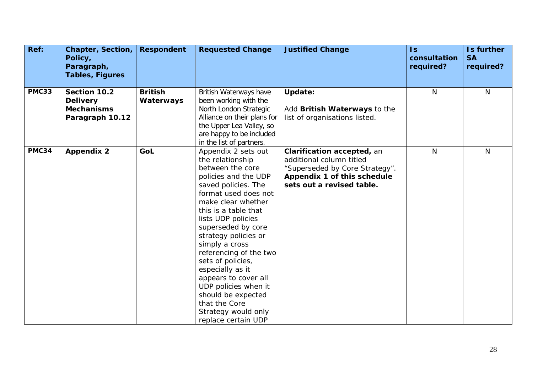| Ref:         | <b>Chapter, Section,</b><br>Policy,<br>Paragraph,<br><b>Tables, Figures</b> | <b>Respondent</b>           | <b>Requested Change</b>                                                                                                                                                                                                                                                                                                                                                                                                                                                        | <b>Justified Change</b>                                                                                                                              | $\mathsf{Is}$<br>consultation<br>required? | Is further<br><b>SA</b><br>required? |
|--------------|-----------------------------------------------------------------------------|-----------------------------|--------------------------------------------------------------------------------------------------------------------------------------------------------------------------------------------------------------------------------------------------------------------------------------------------------------------------------------------------------------------------------------------------------------------------------------------------------------------------------|------------------------------------------------------------------------------------------------------------------------------------------------------|--------------------------------------------|--------------------------------------|
| <b>PMC33</b> | Section 10.2<br><b>Delivery</b><br><b>Mechanisms</b><br>Paragraph 10.12     | <b>British</b><br>Waterways | British Waterways have<br>been working with the<br>North London Strategic<br>Alliance on their plans for<br>the Upper Lea Valley, so<br>are happy to be included<br>in the list of partners.                                                                                                                                                                                                                                                                                   | <b>Update:</b><br>Add British Waterways to the<br>list of organisations listed.                                                                      | N                                          | N                                    |
| PMC34        | <b>Appendix 2</b>                                                           | GoL                         | Appendix 2 sets out<br>the relationship<br>between the core<br>policies and the UDP<br>saved policies. The<br>format used does not<br>make clear whether<br>this is a table that<br>lists UDP policies<br>superseded by core<br>strategy policies or<br>simply a cross<br>referencing of the two<br>sets of policies,<br>especially as it<br>appears to cover all<br>UDP policies when it<br>should be expected<br>that the Core<br>Strategy would only<br>replace certain UDP | Clarification accepted, an<br>additional column titled<br>"Superseded by Core Strategy".<br>Appendix 1 of this schedule<br>sets out a revised table. | N                                          | N                                    |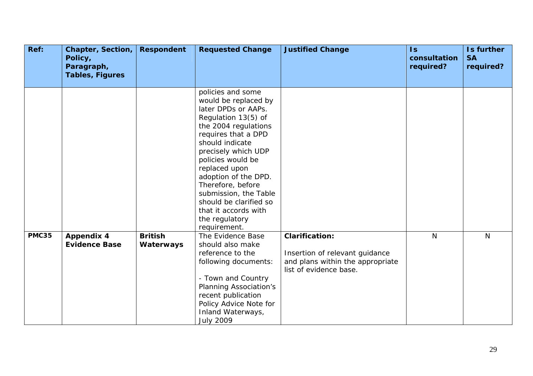| Ref:         | Chapter, Section,<br>Policy,<br>Paragraph,<br>Tables, Figures | <b>Respondent</b> | <b>Requested Change</b>                                                                                                                                                                                                                                                                                                                                                          | <b>Justified Change</b>          | $\mathsf{Is}$<br>consultation<br>required? | Is further<br><b>SA</b><br>required? |
|--------------|---------------------------------------------------------------|-------------------|----------------------------------------------------------------------------------------------------------------------------------------------------------------------------------------------------------------------------------------------------------------------------------------------------------------------------------------------------------------------------------|----------------------------------|--------------------------------------------|--------------------------------------|
|              |                                                               |                   |                                                                                                                                                                                                                                                                                                                                                                                  |                                  |                                            |                                      |
|              |                                                               |                   | policies and some<br>would be replaced by<br>later DPDs or AAPs.<br>Regulation 13(5) of<br>the 2004 regulations<br>requires that a DPD<br>should indicate<br>precisely which UDP<br>policies would be<br>replaced upon<br>adoption of the DPD.<br>Therefore, before<br>submission, the Table<br>should be clarified so<br>that it accords with<br>the regulatory<br>requirement. |                                  |                                            |                                      |
| <b>PMC35</b> | <b>Appendix 4</b>                                             | <b>British</b>    | The Evidence Base                                                                                                                                                                                                                                                                                                                                                                | <b>Clarification:</b>            | $\mathsf{N}$                               | N                                    |
|              | <b>Evidence Base</b>                                          | Waterways         | should also make<br>reference to the                                                                                                                                                                                                                                                                                                                                             | Insertion of relevant guidance   |                                            |                                      |
|              |                                                               |                   | following documents:                                                                                                                                                                                                                                                                                                                                                             | and plans within the appropriate |                                            |                                      |
|              |                                                               |                   |                                                                                                                                                                                                                                                                                                                                                                                  | list of evidence base.           |                                            |                                      |
|              |                                                               |                   | - Town and Country                                                                                                                                                                                                                                                                                                                                                               |                                  |                                            |                                      |
|              |                                                               |                   | <b>Planning Association's</b><br>recent publication                                                                                                                                                                                                                                                                                                                              |                                  |                                            |                                      |
|              |                                                               |                   | Policy Advice Note for                                                                                                                                                                                                                                                                                                                                                           |                                  |                                            |                                      |
|              |                                                               |                   | Inland Waterways,                                                                                                                                                                                                                                                                                                                                                                |                                  |                                            |                                      |
|              |                                                               |                   | <b>July 2009</b>                                                                                                                                                                                                                                                                                                                                                                 |                                  |                                            |                                      |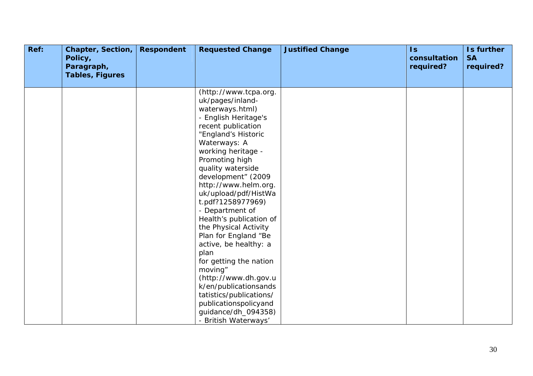| Ref: | Chapter, Section,<br>Policy,<br>Paragraph,<br><b>Tables, Figures</b> | <b>Respondent</b> | <b>Requested Change</b>                                                                                                                                                                                                                                                                                                                                                                                                                                                                                                                                                                                                            | <b>Justified Change</b> | $\overline{1s}$<br>consultation<br>required? | Is further<br><b>SA</b><br>required? |
|------|----------------------------------------------------------------------|-------------------|------------------------------------------------------------------------------------------------------------------------------------------------------------------------------------------------------------------------------------------------------------------------------------------------------------------------------------------------------------------------------------------------------------------------------------------------------------------------------------------------------------------------------------------------------------------------------------------------------------------------------------|-------------------------|----------------------------------------------|--------------------------------------|
|      |                                                                      |                   | (http://www.tcpa.org.<br>uk/pages/inland-<br>waterways.html)<br>- English Heritage's<br>recent publication<br>"England's Historic<br>Waterways: A<br>working heritage -<br>Promoting high<br>quality waterside<br>development" (2009<br>http://www.helm.org.<br>uk/upload/pdf/HistWa<br>t.pdf?1258977969)<br>- Department of<br>Health's publication of<br>the Physical Activity<br>Plan for England "Be<br>active, be healthy: a<br>plan<br>for getting the nation<br>moving"<br>(http://www.dh.gov.u<br>k/en/publicationsands<br>tatistics/publications/<br>publicationspolicyand<br>guidance/dh_094358)<br>- British Waterways' |                         |                                              |                                      |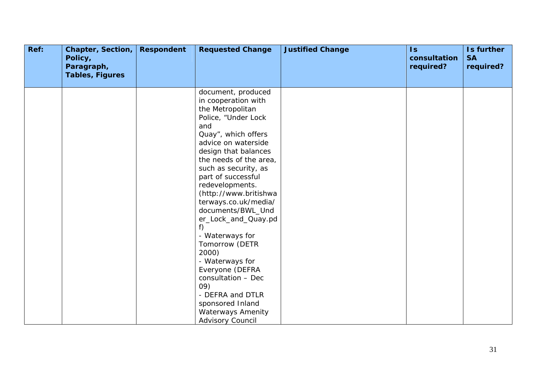| Ref: | Chapter, Section,<br>Policy,<br>Paragraph,<br><b>Tables, Figures</b> | <b>Respondent</b> | <b>Requested Change</b>                                                                                                                                                                                                                                                                                                                                                                                                                                                                                                                                                         | <b>Justified Change</b> | $\mathsf{Is}$<br>consultation<br>required? | Is further<br><b>SA</b><br>required? |
|------|----------------------------------------------------------------------|-------------------|---------------------------------------------------------------------------------------------------------------------------------------------------------------------------------------------------------------------------------------------------------------------------------------------------------------------------------------------------------------------------------------------------------------------------------------------------------------------------------------------------------------------------------------------------------------------------------|-------------------------|--------------------------------------------|--------------------------------------|
|      |                                                                      |                   | document, produced<br>in cooperation with<br>the Metropolitan<br>Police, "Under Lock<br>and<br>Quay", which offers<br>advice on waterside<br>design that balances<br>the needs of the area,<br>such as security, as<br>part of successful<br>redevelopments.<br>(http://www.britishwa<br>terways.co.uk/media/<br>documents/BWL_Und<br>er_Lock_and_Quay.pd<br>f)<br>- Waterways for<br>Tomorrow (DETR<br>2000)<br>- Waterways for<br>Everyone (DEFRA<br>consultation - Dec<br>09)<br>- DEFRA and DTLR<br>sponsored Inland<br><b>Waterways Amenity</b><br><b>Advisory Council</b> |                         |                                            |                                      |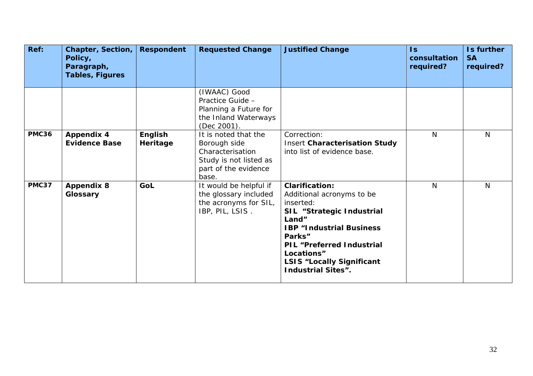| Ref:         | <b>Chapter, Section,</b><br>Policy,<br>Paragraph,<br><b>Tables, Figures</b> | <b>Respondent</b>   | <b>Requested Change</b>                                                                                             | <b>Justified Change</b>                                                                                                                                                                                                                                               | $\mathsf{ls}$<br>consultation<br>required? | Is further<br><b>SA</b><br>required? |
|--------------|-----------------------------------------------------------------------------|---------------------|---------------------------------------------------------------------------------------------------------------------|-----------------------------------------------------------------------------------------------------------------------------------------------------------------------------------------------------------------------------------------------------------------------|--------------------------------------------|--------------------------------------|
|              |                                                                             |                     | (IWAAC) Good<br>Practice Guide -<br>Planning a Future for<br>the Inland Waterways<br>(Dec 2001).                    |                                                                                                                                                                                                                                                                       |                                            |                                      |
| <b>PMC36</b> | <b>Appendix 4</b><br><b>Evidence Base</b>                                   | English<br>Heritage | It is noted that the<br>Borough side<br>Characterisation<br>Study is not listed as<br>part of the evidence<br>base. | Correction:<br><b>Insert Characterisation Study</b><br>into list of evidence base.                                                                                                                                                                                    | $\mathsf{N}$                               | N                                    |
| <b>PMC37</b> | <b>Appendix 8</b><br>Glossary                                               | GoL                 | It would be helpful if<br>the glossary included<br>the acronyms for SIL,<br>IBP, PIL, LSIS.                         | <b>Clarification:</b><br>Additional acronyms to be<br>inserted:<br>SIL "Strategic Industrial<br>Land"<br><b>IBP "Industrial Business</b><br>Parks"<br><b>PIL</b> "Preferred Industrial<br>Locations"<br><b>LSIS "Locally Significant</b><br><b>Industrial Sites".</b> | N                                          | N                                    |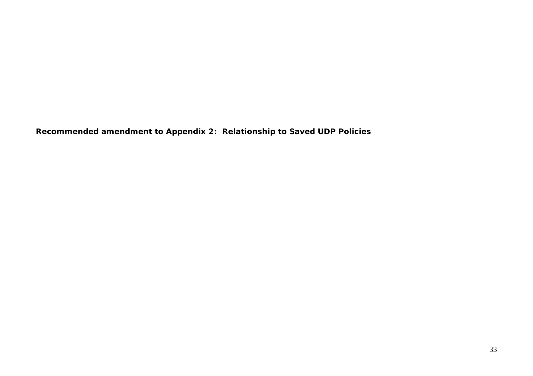**Recommended amendment to Appendix 2: Relationship to Saved UDP Policies**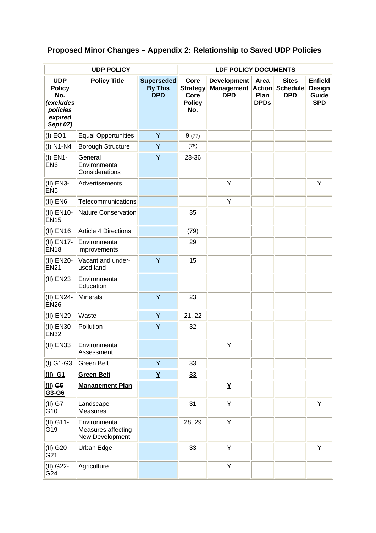# **Proposed Minor Changes – Appendix 2: Relationship to Saved UDP Policies**

|                                                                                    | <b>UDP POLICY</b>                                      |                                                   | <b>LDF POLICY DOCUMENTS</b>                             |                                                       |                                              |                                               |                                                 |  |
|------------------------------------------------------------------------------------|--------------------------------------------------------|---------------------------------------------------|---------------------------------------------------------|-------------------------------------------------------|----------------------------------------------|-----------------------------------------------|-------------------------------------------------|--|
| <b>UDP</b><br><b>Policy</b><br>No.<br>(excludes<br>policies<br>expired<br>Sept 07) | <b>Policy Title</b>                                    | <b>Superseded</b><br><b>By This</b><br><b>DPD</b> | Core<br><b>Strategy</b><br>Core<br><b>Policy</b><br>No. | <b>Development</b><br><b>Management</b><br><b>DPD</b> | Area<br><b>Action</b><br>Plan<br><b>DPDs</b> | <b>Sites</b><br><b>Schedule</b><br><b>DPD</b> | <b>Enfield</b><br>Design<br>Guide<br><b>SPD</b> |  |
| $(I)$ EO1                                                                          | <b>Equal Opportunities</b>                             | Y                                                 | 9(77)                                                   |                                                       |                                              |                                               |                                                 |  |
| $(I)$ N1-N4                                                                        | <b>Borough Structure</b>                               | Y                                                 | (78)                                                    |                                                       |                                              |                                               |                                                 |  |
| (I) EN1-<br>EN <sub>6</sub>                                                        | General<br>Environmental<br>Considerations             | Y                                                 | 28-36                                                   |                                                       |                                              |                                               |                                                 |  |
| (II) EN3-<br>EN <sub>5</sub>                                                       | Advertisements                                         |                                                   |                                                         | Υ                                                     |                                              |                                               | Y                                               |  |
| $(II)$ EN6                                                                         | Telecommunications                                     |                                                   |                                                         | Υ                                                     |                                              |                                               |                                                 |  |
| (II) EN10-<br><b>EN15</b>                                                          | <b>Nature Conservation</b>                             |                                                   | 35                                                      |                                                       |                                              |                                               |                                                 |  |
| $(II)$ EN16                                                                        | Article 4 Directions                                   |                                                   | (79)                                                    |                                                       |                                              |                                               |                                                 |  |
| (II) EN17-<br><b>EN18</b>                                                          | Environmental<br>improvements                          |                                                   | 29                                                      |                                                       |                                              |                                               |                                                 |  |
| (II) EN20-<br><b>EN21</b>                                                          | Vacant and under-<br>used land                         | Y                                                 | 15                                                      |                                                       |                                              |                                               |                                                 |  |
| (II) EN23                                                                          | Environmental<br>Education                             |                                                   |                                                         |                                                       |                                              |                                               |                                                 |  |
| (II) EN24-<br><b>EN26</b>                                                          | <b>Minerals</b>                                        | Y                                                 | 23                                                      |                                                       |                                              |                                               |                                                 |  |
| (II) EN29                                                                          | Waste                                                  | Y                                                 | 21, 22                                                  |                                                       |                                              |                                               |                                                 |  |
| (II) EN30-<br><b>EN32</b>                                                          | Pollution                                              | Y                                                 | 32                                                      |                                                       |                                              |                                               |                                                 |  |
| (II) EN33                                                                          | Environmental<br>Assessment                            |                                                   |                                                         | Y                                                     |                                              |                                               |                                                 |  |
| $(I)$ G1-G3                                                                        | Green Belt                                             | Y                                                 | 33                                                      |                                                       |                                              |                                               |                                                 |  |
| $(II)$ G1                                                                          | <b>Green Belt</b>                                      | $\underline{Y}$                                   | 33                                                      |                                                       |                                              |                                               |                                                 |  |
| $(II)$ G <sub>5</sub><br>G3-G6                                                     | <b>Management Plan</b>                                 |                                                   |                                                         | Y                                                     |                                              |                                               |                                                 |  |
| (II) G7-<br>G10                                                                    | Landscape<br>Measures                                  |                                                   | 31                                                      | Υ                                                     |                                              |                                               | Υ                                               |  |
| (II) G11-<br>G19                                                                   | Environmental<br>Measures affecting<br>New Development |                                                   | 28, 29                                                  | Y                                                     |                                              |                                               |                                                 |  |
| (II) G20-<br>G21                                                                   | Urban Edge                                             |                                                   | 33                                                      | Υ                                                     |                                              |                                               | Υ                                               |  |
| (II) G22-<br>G24                                                                   | Agriculture                                            |                                                   |                                                         | Υ                                                     |                                              |                                               |                                                 |  |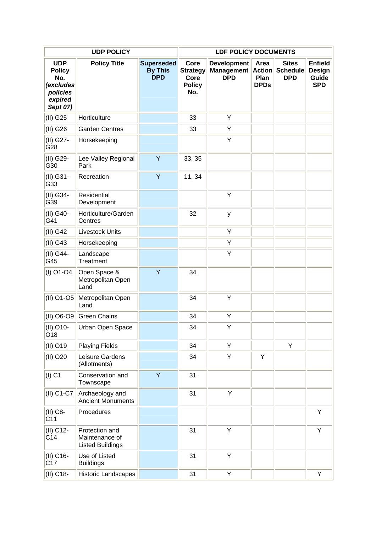|                                                                                    | <b>UDP POLICY</b>                                           |                                                   | <b>LDF POLICY DOCUMENTS</b>                             |                                                       |                                              |                                               |                                                        |  |
|------------------------------------------------------------------------------------|-------------------------------------------------------------|---------------------------------------------------|---------------------------------------------------------|-------------------------------------------------------|----------------------------------------------|-----------------------------------------------|--------------------------------------------------------|--|
| <b>UDP</b><br><b>Policy</b><br>No.<br>(excludes<br>policies<br>expired<br>Sept 07) | <b>Policy Title</b>                                         | <b>Superseded</b><br><b>By This</b><br><b>DPD</b> | Core<br><b>Strategy</b><br>Core<br><b>Policy</b><br>No. | <b>Development</b><br><b>Management</b><br><b>DPD</b> | Area<br><b>Action</b><br>Plan<br><b>DPDs</b> | <b>Sites</b><br><b>Schedule</b><br><b>DPD</b> | <b>Enfield</b><br><b>Design</b><br>Guide<br><b>SPD</b> |  |
| (II) G25                                                                           | Horticulture                                                |                                                   | 33                                                      | Υ                                                     |                                              |                                               |                                                        |  |
| (II) G26                                                                           | <b>Garden Centres</b>                                       |                                                   | 33                                                      | Υ                                                     |                                              |                                               |                                                        |  |
| (II) G27-<br>G28                                                                   | Horsekeeping                                                |                                                   |                                                         | Υ                                                     |                                              |                                               |                                                        |  |
| (II) G29-<br>G30                                                                   | Lee Valley Regional<br>Park                                 | Y                                                 | 33, 35                                                  |                                                       |                                              |                                               |                                                        |  |
| (II) G31-<br>G33                                                                   | Recreation                                                  | Y                                                 | 11, 34                                                  |                                                       |                                              |                                               |                                                        |  |
| (II) G34-<br>G39                                                                   | Residential<br>Development                                  |                                                   |                                                         | Υ                                                     |                                              |                                               |                                                        |  |
| (II) G40-<br>G41                                                                   | Horticulture/Garden<br>Centres                              |                                                   | 32                                                      | У                                                     |                                              |                                               |                                                        |  |
| (II) G42                                                                           | <b>Livestock Units</b>                                      |                                                   |                                                         | Υ                                                     |                                              |                                               |                                                        |  |
| $(II)$ G43                                                                         | Horsekeeping                                                |                                                   |                                                         | Υ                                                     |                                              |                                               |                                                        |  |
| (II) G44-<br>G45                                                                   | Landscape<br>Treatment                                      |                                                   |                                                         | Υ                                                     |                                              |                                               |                                                        |  |
| $(I)$ O1-O4                                                                        | Open Space &<br>Metropolitan Open<br>Land                   | Y                                                 | 34                                                      |                                                       |                                              |                                               |                                                        |  |
| (II) O1-O5                                                                         | Metropolitan Open<br>Land                                   |                                                   | 34                                                      | Y                                                     |                                              |                                               |                                                        |  |
| (II) O6-O9                                                                         | <b>Green Chains</b>                                         |                                                   | 34                                                      | Υ                                                     |                                              |                                               |                                                        |  |
| (II) O10-<br>O18                                                                   | Urban Open Space                                            |                                                   | 34                                                      | Υ                                                     |                                              |                                               |                                                        |  |
| (II) O19                                                                           | <b>Playing Fields</b>                                       |                                                   | 34                                                      | Υ                                                     |                                              | Υ                                             |                                                        |  |
| (II) O20                                                                           | Leisure Gardens<br>(Allotments)                             |                                                   | 34                                                      | Υ                                                     | Y                                            |                                               |                                                        |  |
| $(I)$ C1                                                                           | Conservation and<br>Townscape                               | Y                                                 | 31                                                      |                                                       |                                              |                                               |                                                        |  |
| (II) C1-C7                                                                         | Archaeology and<br><b>Ancient Monuments</b>                 |                                                   | 31                                                      | Υ                                                     |                                              |                                               |                                                        |  |
| (II) C8-<br>C <sub>11</sub>                                                        | Procedures                                                  |                                                   |                                                         |                                                       |                                              |                                               | Υ                                                      |  |
| (II) C12-<br>C14                                                                   | Protection and<br>Maintenance of<br><b>Listed Buildings</b> |                                                   | 31                                                      | Υ                                                     |                                              |                                               | Υ                                                      |  |
| (II) C16-<br>C <sub>17</sub>                                                       | Use of Listed<br><b>Buildings</b>                           |                                                   | 31                                                      | Υ                                                     |                                              |                                               |                                                        |  |
| (II) C18-                                                                          | <b>Historic Landscapes</b>                                  |                                                   | 31                                                      | Υ                                                     |                                              |                                               | Υ                                                      |  |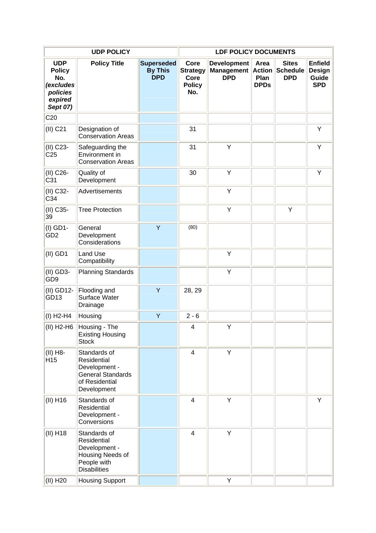|                                                                                    | <b>UDP POLICY</b>                                                                                         |                                                   |                                                         | <b>LDF POLICY DOCUMENTS</b>                           |                                              |                                               |                                                        |
|------------------------------------------------------------------------------------|-----------------------------------------------------------------------------------------------------------|---------------------------------------------------|---------------------------------------------------------|-------------------------------------------------------|----------------------------------------------|-----------------------------------------------|--------------------------------------------------------|
| <b>UDP</b><br><b>Policy</b><br>No.<br>(excludes<br>policies<br>expired<br>Sept 07) | <b>Policy Title</b>                                                                                       | <b>Superseded</b><br><b>By This</b><br><b>DPD</b> | Core<br><b>Strategy</b><br>Core<br><b>Policy</b><br>No. | <b>Development</b><br><b>Management</b><br><b>DPD</b> | Area<br><b>Action</b><br>Plan<br><b>DPDs</b> | <b>Sites</b><br><b>Schedule</b><br><b>DPD</b> | <b>Enfield</b><br><b>Design</b><br>Guide<br><b>SPD</b> |
| C <sub>20</sub>                                                                    |                                                                                                           |                                                   |                                                         |                                                       |                                              |                                               |                                                        |
| (II) C21                                                                           | Designation of<br><b>Conservation Areas</b>                                                               |                                                   | 31                                                      |                                                       |                                              |                                               | Υ                                                      |
| (II) C23-<br>C <sub>25</sub>                                                       | Safeguarding the<br>Environment in<br><b>Conservation Areas</b>                                           |                                                   | 31                                                      | Y                                                     |                                              |                                               | Υ                                                      |
| (II) C26-<br>C31                                                                   | Quality of<br>Development                                                                                 |                                                   | 30                                                      | Y                                                     |                                              |                                               | Υ                                                      |
| (II) C32-<br>C34                                                                   | Advertisements                                                                                            |                                                   |                                                         | Υ                                                     |                                              |                                               |                                                        |
| (II) C35-<br>39                                                                    | <b>Tree Protection</b>                                                                                    |                                                   |                                                         | Υ                                                     |                                              | Υ                                             |                                                        |
| (I) GD1-<br>GD <sub>2</sub>                                                        | General<br>Development<br>Considerations                                                                  | Y                                                 | (80)                                                    |                                                       |                                              |                                               |                                                        |
| $(II)$ GD1                                                                         | Land Use<br>Compatibility                                                                                 |                                                   |                                                         | Υ                                                     |                                              |                                               |                                                        |
| (II) GD3-<br>GD <sub>9</sub>                                                       | <b>Planning Standards</b>                                                                                 |                                                   |                                                         | Υ                                                     |                                              |                                               |                                                        |
| (II) GD12-<br>GD13                                                                 | Flooding and<br>Surface Water<br>Drainage                                                                 | Y                                                 | 28, 29                                                  |                                                       |                                              |                                               |                                                        |
| $(I)$ H <sub>2</sub> -H <sub>4</sub>                                               | Housing                                                                                                   | Y                                                 | $2 - 6$                                                 |                                                       |                                              |                                               |                                                        |
| (II) H2-H6                                                                         | Housing - The<br><b>Existing Housing</b><br><b>Stock</b>                                                  |                                                   | 4                                                       | Υ                                                     |                                              |                                               |                                                        |
| (II) H8-<br>H <sub>15</sub>                                                        | Standards of<br>Residential<br>Development -<br><b>General Standards</b><br>of Residential<br>Development |                                                   | 4                                                       | Υ                                                     |                                              |                                               |                                                        |
| $(II)$ H <sub>16</sub>                                                             | Standards of<br>Residential<br>Development -<br>Conversions                                               |                                                   | 4                                                       | Υ                                                     |                                              |                                               | Υ                                                      |
| $(II)$ H <sub>18</sub>                                                             | Standards of<br>Residential<br>Development -<br>Housing Needs of<br>People with<br><b>Disabilities</b>    |                                                   | $\overline{\mathbf{4}}$                                 | Υ                                                     |                                              |                                               |                                                        |
| (II) H20                                                                           | <b>Housing Support</b>                                                                                    |                                                   |                                                         | Y                                                     |                                              |                                               |                                                        |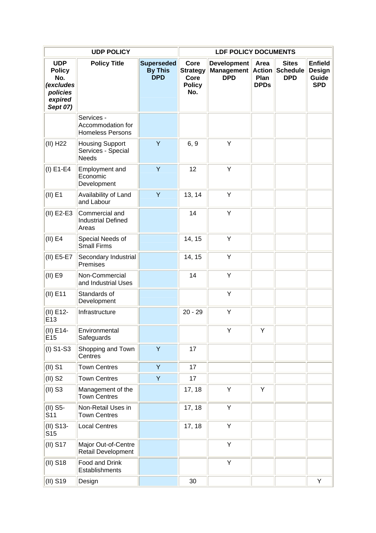|                                                                                    | <b>UDP POLICY</b>                                          |                                                   |                                                         | <b>LDF POLICY DOCUMENTS</b>                           |                                              |                                               |                                                        |
|------------------------------------------------------------------------------------|------------------------------------------------------------|---------------------------------------------------|---------------------------------------------------------|-------------------------------------------------------|----------------------------------------------|-----------------------------------------------|--------------------------------------------------------|
| <b>UDP</b><br><b>Policy</b><br>No.<br>(excludes<br>policies<br>expired<br>Sept 07) | <b>Policy Title</b>                                        | <b>Superseded</b><br><b>By This</b><br><b>DPD</b> | Core<br><b>Strategy</b><br>Core<br><b>Policy</b><br>No. | <b>Development</b><br><b>Management</b><br><b>DPD</b> | Area<br><b>Action</b><br>Plan<br><b>DPDs</b> | <b>Sites</b><br><b>Schedule</b><br><b>DPD</b> | <b>Enfield</b><br><b>Design</b><br>Guide<br><b>SPD</b> |
|                                                                                    | Services -<br>Accommodation for<br><b>Homeless Persons</b> |                                                   |                                                         |                                                       |                                              |                                               |                                                        |
| (II) H22                                                                           | <b>Housing Support</b><br>Services - Special<br>Needs      | Y                                                 | 6, 9                                                    | Υ                                                     |                                              |                                               |                                                        |
| $(I) E1-E4$                                                                        | Employment and<br>Economic<br>Development                  | Y                                                 | 12                                                      | Y                                                     |                                              |                                               |                                                        |
| $(II)$ E1                                                                          | Availability of Land<br>and Labour                         | Y                                                 | 13, 14                                                  | Y                                                     |                                              |                                               |                                                        |
| (II) E2-E3                                                                         | Commercial and<br><b>Industrial Defined</b><br>Areas       |                                                   | 14                                                      | Υ                                                     |                                              |                                               |                                                        |
| $(II)$ E4                                                                          | Special Needs of<br><b>Small Firms</b>                     |                                                   | 14, 15                                                  | Υ                                                     |                                              |                                               |                                                        |
| (II) E5-E7                                                                         | Secondary Industrial<br>Premises                           |                                                   | 14, 15                                                  | Υ                                                     |                                              |                                               |                                                        |
| (II) E9                                                                            | Non-Commercial<br>and Industrial Uses                      |                                                   | 14                                                      | Υ                                                     |                                              |                                               |                                                        |
| $(II)$ E11                                                                         | Standards of<br>Development                                |                                                   |                                                         | Υ                                                     |                                              |                                               |                                                        |
| (II) E12-<br>E13                                                                   | Infrastructure                                             |                                                   | $20 - 29$                                               | Υ                                                     |                                              |                                               |                                                        |
| (II) E14-<br>E15                                                                   | Environmental<br>Safeguards                                |                                                   |                                                         | Y                                                     | Υ                                            |                                               |                                                        |
| $(I)$ S1-S3                                                                        | Shopping and Town<br>Centres                               | Y                                                 | 17                                                      |                                                       |                                              |                                               |                                                        |
| $(II)$ S1                                                                          | <b>Town Centres</b>                                        | Y                                                 | 17                                                      |                                                       |                                              |                                               |                                                        |
| $(II)$ S <sub>2</sub>                                                              | <b>Town Centres</b>                                        | Y                                                 | 17                                                      |                                                       |                                              |                                               |                                                        |
| $(II)$ S3                                                                          | Management of the<br><b>Town Centres</b>                   |                                                   | 17, 18                                                  | Υ                                                     | Υ                                            |                                               |                                                        |
| $(II)$ S5-<br>S11                                                                  | Non-Retail Uses in<br><b>Town Centres</b>                  |                                                   | 17, 18                                                  | Υ                                                     |                                              |                                               |                                                        |
| (II) S13-<br>S <sub>15</sub>                                                       | <b>Local Centres</b>                                       |                                                   | 17, 18                                                  | Υ                                                     |                                              |                                               |                                                        |
| $(II)$ S17                                                                         | Major Out-of-Centre<br>Retail Development                  |                                                   |                                                         | Υ                                                     |                                              |                                               |                                                        |
| $(II)$ S <sub>18</sub>                                                             | Food and Drink<br>Establishments                           |                                                   |                                                         | Υ                                                     |                                              |                                               |                                                        |
| (II) S19                                                                           | Design                                                     |                                                   | 30                                                      |                                                       |                                              |                                               | Υ                                                      |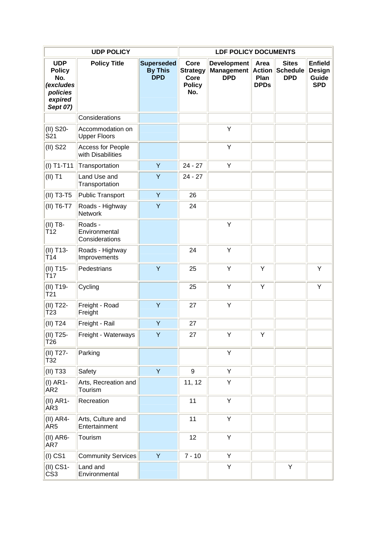|                                                                                    | <b>UDP POLICY</b>                          |                                                   | <b>LDF POLICY DOCUMENTS</b>                             |                                                       |                                              |                                               |                                                        |  |
|------------------------------------------------------------------------------------|--------------------------------------------|---------------------------------------------------|---------------------------------------------------------|-------------------------------------------------------|----------------------------------------------|-----------------------------------------------|--------------------------------------------------------|--|
| <b>UDP</b><br><b>Policy</b><br>No.<br>(excludes<br>policies<br>expired<br>Sept 07) | <b>Policy Title</b>                        | <b>Superseded</b><br><b>By This</b><br><b>DPD</b> | Core<br><b>Strategy</b><br>Core<br><b>Policy</b><br>No. | <b>Development</b><br><b>Management</b><br><b>DPD</b> | Area<br><b>Action</b><br>Plan<br><b>DPDs</b> | <b>Sites</b><br><b>Schedule</b><br><b>DPD</b> | <b>Enfield</b><br><b>Design</b><br>Guide<br><b>SPD</b> |  |
|                                                                                    | Considerations                             |                                                   |                                                         |                                                       |                                              |                                               |                                                        |  |
| (II) S20-<br>S21                                                                   | Accommodation on<br><b>Upper Floors</b>    |                                                   |                                                         | Υ                                                     |                                              |                                               |                                                        |  |
| $(II)$ S22                                                                         | Access for People<br>with Disabilities     |                                                   |                                                         | Υ                                                     |                                              |                                               |                                                        |  |
| $(I) T1-T11$                                                                       | Transportation                             | Y                                                 | $24 - 27$                                               | Υ                                                     |                                              |                                               |                                                        |  |
| $(II)$ T1                                                                          | Land Use and<br>Transportation             | Y                                                 | $24 - 27$                                               |                                                       |                                              |                                               |                                                        |  |
| (II) T3-T5                                                                         | <b>Public Transport</b>                    | Y                                                 | 26                                                      |                                                       |                                              |                                               |                                                        |  |
| (II) T6-T7                                                                         | Roads - Highway<br><b>Network</b>          | Υ                                                 | 24                                                      |                                                       |                                              |                                               |                                                        |  |
| (II) T8-<br>T <sub>12</sub>                                                        | Roads -<br>Environmental<br>Considerations |                                                   |                                                         | Y                                                     |                                              |                                               |                                                        |  |
| (II) T13-<br>T <sub>14</sub>                                                       | Roads - Highway<br>Improvements            |                                                   | 24                                                      | Υ                                                     |                                              |                                               |                                                        |  |
| (II) T15-<br>T <sub>17</sub>                                                       | Pedestrians                                | Y                                                 | 25                                                      | Υ                                                     | Υ                                            |                                               | Υ                                                      |  |
| (II) T19-<br>T <sub>21</sub>                                                       | Cycling                                    |                                                   | 25                                                      | Y                                                     | Υ                                            |                                               | Υ                                                      |  |
| (II) T22-<br>T <sub>23</sub>                                                       | Freight - Road<br>Freight                  | Y                                                 | 27                                                      | Υ                                                     |                                              |                                               |                                                        |  |
| $(II)$ T <sub>24</sub>                                                             | Freight - Rail                             | Y                                                 | 27                                                      |                                                       |                                              |                                               |                                                        |  |
| (II) T25-<br>T26                                                                   | Freight - Waterways                        | Y                                                 | 27                                                      | Υ                                                     | Υ                                            |                                               |                                                        |  |
| (II) T27-<br>T32                                                                   | Parking                                    |                                                   |                                                         | Υ                                                     |                                              |                                               |                                                        |  |
| (II) T33                                                                           | Safety                                     | Y                                                 | 9                                                       | Υ                                                     |                                              |                                               |                                                        |  |
| $(I)$ AR1-<br>AR <sub>2</sub>                                                      | Arts, Recreation and<br>Tourism            |                                                   | 11, 12                                                  | Υ                                                     |                                              |                                               |                                                        |  |
| $(II)$ AR1-<br>AR <sub>3</sub>                                                     | Recreation                                 |                                                   | 11                                                      | Υ                                                     |                                              |                                               |                                                        |  |
| $(II)$ AR4-<br>AR <sub>5</sub>                                                     | Arts, Culture and<br>Entertainment         |                                                   | 11                                                      | Υ                                                     |                                              |                                               |                                                        |  |
| $(II)$ AR6-<br>AR7                                                                 | Tourism                                    |                                                   | 12                                                      | Υ                                                     |                                              |                                               |                                                        |  |
| $(I)$ CS1                                                                          | <b>Community Services</b>                  | Y                                                 | $7 - 10$                                                | Υ                                                     |                                              |                                               |                                                        |  |
| (II) CS1-<br>CS <sub>3</sub>                                                       | Land and<br>Environmental                  |                                                   |                                                         | Υ                                                     |                                              | Υ                                             |                                                        |  |